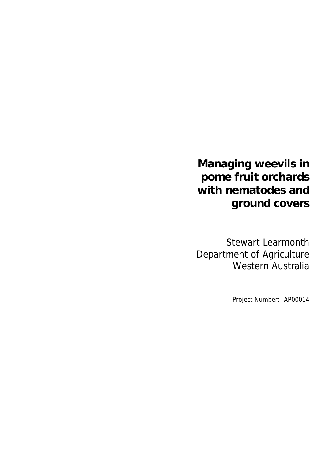**Managing weevils in pome fruit orchards with nematodes and ground covers** 

Stewart Learmonth Department of Agriculture Western Australia

Project Number: AP00014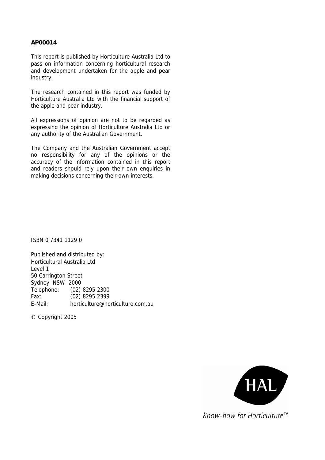#### **AP00014**

This report is published by Horticulture Australia Ltd to pass on information concerning horticultural research and development undertaken for the apple and pear industry.

The research contained in this report was funded by Horticulture Australia Ltd with the financial support of the apple and pear industry.

All expressions of opinion are not to be regarded as expressing the opinion of Horticulture Australia Ltd or any authority of the Australian Government.

The Company and the Australian Government accept no responsibility for any of the opinions or the accuracy of the information contained in this report and readers should rely upon their own enquiries in making decisions concerning their own interests.

ISBN 0 7341 1129 0

Published and distributed by: Horticultural Australia Ltd Level 1 50 Carrington Street Sydney NSW 2000 Telephone: (02) 8295 2300 Fax: (02) 8295 2399 E-Mail: horticulture@horticulture.com.au

© Copyright 2005



Know-how for Horticulture<sup>™</sup>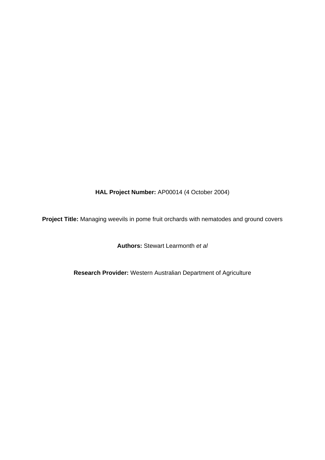**HAL Project Number:** AP00014 (4 October 2004)

**Project Title:** Managing weevils in pome fruit orchards with nematodes and ground covers

**Authors:** Stewart Learmonth *et al* 

**Research Provider:** Western Australian Department of Agriculture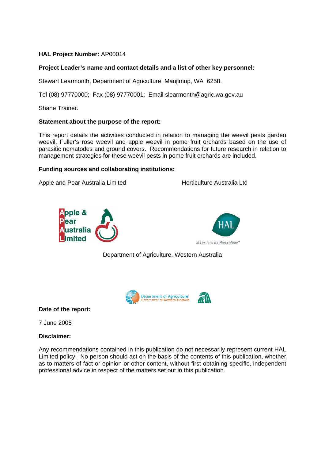## **HAL Project Number:** AP00014

## **Project Leader's name and contact details and a list of other key personnel:**

Stewart Learmonth, Department of Agriculture, Manjimup, WA 6258.

Tel (08) 97770000; Fax (08) 97770001; Email slearmonth@agric.wa.gov.au

Shane Trainer.

## **Statement about the purpose of the report:**

This report details the activities conducted in relation to managing the weevil pests garden weevil, Fuller's rose weevil and apple weevil in pome fruit orchards based on the use of parasitic nematodes and ground covers. Recommendations for future research in relation to management strategies for these weevil pests in pome fruit orchards are included.

## **Funding sources and collaborating institutions:**

Apple and Pear Australia Limited **Horticulture Australia Ltd** 





Department of Agriculture, Western Australia



**Date of the report:** 

7 June 2005

## **Disclaimer:**

Any recommendations contained in this publication do not necessarily represent current HAL Limited policy. No person should act on the basis of the contents of this publication, whether as to matters of fact or opinion or other content, without first obtaining specific, independent professional advice in respect of the matters set out in this publication.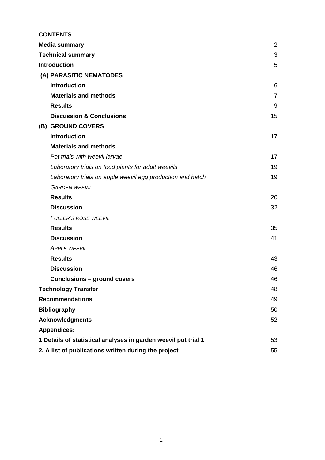|                            | <b>CONTENTS</b>                                                      |                |  |
|----------------------------|----------------------------------------------------------------------|----------------|--|
|                            | <b>Media summary</b>                                                 | $\overline{2}$ |  |
|                            | <b>Technical summary</b>                                             | 3              |  |
|                            | <b>Introduction</b>                                                  | 5              |  |
|                            | (A) PARASITIC NEMATODES                                              |                |  |
|                            | <b>Introduction</b>                                                  | 6              |  |
|                            | <b>Materials and methods</b>                                         | $\overline{7}$ |  |
|                            | <b>Results</b>                                                       | 9              |  |
|                            | <b>Discussion &amp; Conclusions</b>                                  | 15             |  |
|                            | (B) GROUND COVERS                                                    |                |  |
|                            | <b>Introduction</b>                                                  | 17             |  |
|                            | <b>Materials and methods</b>                                         |                |  |
|                            | Pot trials with weevil larvae                                        | 17             |  |
|                            | Laboratory trials on food plants for adult weevils                   | 19             |  |
|                            | Laboratory trials on apple weevil egg production and hatch           | 19             |  |
|                            | <b>GARDEN WEEVIL</b>                                                 |                |  |
|                            | <b>Results</b>                                                       | 20             |  |
|                            | <b>Discussion</b>                                                    | 32             |  |
|                            | <b>FULLER'S ROSE WEEVIL</b>                                          |                |  |
|                            | <b>Results</b>                                                       | 35             |  |
|                            | <b>Discussion</b>                                                    | 41             |  |
|                            | <b>APPLE WEEVIL</b>                                                  |                |  |
|                            | <b>Results</b>                                                       | 43             |  |
|                            | <b>Discussion</b>                                                    | 46             |  |
|                            | <b>Conclusions - ground covers</b>                                   | 46             |  |
| <b>Technology Transfer</b> |                                                                      | 48             |  |
|                            | <b>Recommendations</b>                                               | 49             |  |
| <b>Bibliography</b>        |                                                                      | 50             |  |
|                            | <b>Acknowledgments</b>                                               | 52             |  |
|                            | <b>Appendices:</b>                                                   |                |  |
|                            | 1 Details of statistical analyses in garden weevil pot trial 1<br>53 |                |  |
|                            | 2. A list of publications written during the project<br>55           |                |  |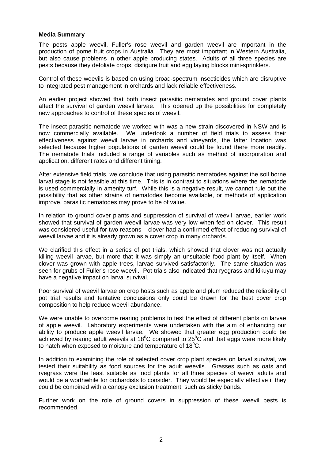### **Media Summary**

The pests apple weevil, Fuller's rose weevil and garden weevil are important in the production of pome fruit crops in Australia. They are most important in Western Australia, but also cause problems in other apple producing states. Adults of all three species are pests because they defoliate crops, disfigure fruit and egg laying blocks mini-sprinklers.

Control of these weevils is based on using broad-spectrum insecticides which are disruptive to integrated pest management in orchards and lack reliable effectiveness.

An earlier project showed that both insect parasitic nematodes and ground cover plants affect the survival of garden weevil larvae. This opened up the possibilities for completely new approaches to control of these species of weevil.

The insect parasitic nematode we worked with was a new strain discovered in NSW and is now commercially available. We undertook a number of field trials to assess their effectiveness against weevil larvae in orchards and vineyards, the latter location was selected because higher populations of garden weevil could be found there more readily. The nematode trials included a range of variables such as method of incorporation and application, different rates and different timing.

After extensive field trials, we conclude that using parasitic nematodes against the soil borne larval stage is not feasible at this time. This is in contrast to situations where the nematode is used commercially in amenity turf. While this is a negative result, we cannot rule out the possibility that as other strains of nematodes become available, or methods of application improve, parasitic nematodes may prove to be of value.

In relation to ground cover plants and suppression of survival of weevil larvae, earlier work showed that survival of garden weevil larvae was very low when fed on clover. This result was considered useful for two reasons – clover had a confirmed effect of reducing survival of weevil larvae and it is already grown as a cover crop in many orchards.

We clarified this effect in a series of pot trials, which showed that clover was not actually killing weevil larvae, but more that it was simply an unsuitable food plant by itself. When clover was grown with apple trees, larvae survived satisfactorily. The same situation was seen for grubs of Fuller's rose weevil. Pot trials also indicated that ryegrass and kikuyu may have a negative impact on larval survival.

Poor survival of weevil larvae on crop hosts such as apple and plum reduced the reliability of pot trial results and tentative conclusions only could be drawn for the best cover crop composition to help reduce weevil abundance.

We were unable to overcome rearing problems to test the effect of different plants on larvae of apple weevil. Laboratory experiments were undertaken with the aim of enhancing our ability to produce apple weevil larvae. We showed that greater egg production could be achieved by rearing adult weevils at 18<sup>0</sup>C compared to 25<sup>0</sup>C and that eggs were more likely to hatch when exposed to moisture and temperature of 18 $^0$ C.

In addition to examining the role of selected cover crop plant species on larval survival, we tested their suitability as food sources for the adult weevils. Grasses such as oats and ryegrass were the least suitable as food plants for all three species of weevil adults and would be a worthwhile for orchardists to consider. They would be especially effective if they could be combined with a canopy exclusion treatment, such as sticky bands.

Further work on the role of ground covers in suppression of these weevil pests is recommended.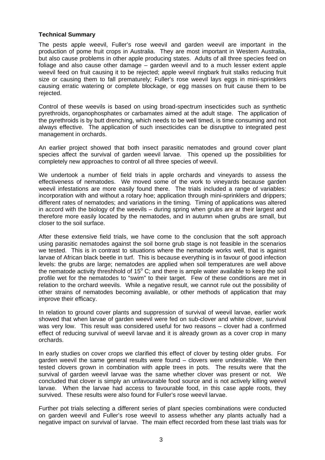## **Technical Summary**

The pests apple weevil, Fuller's rose weevil and garden weevil are important in the production of pome fruit crops in Australia. They are most important in Western Australia, but also cause problems in other apple producing states. Adults of all three species feed on foliage and also cause other damage – garden weevil and to a much lesser extent apple weevil feed on fruit causing it to be rejected; apple weevil ringbark fruit stalks reducing fruit size or causing them to fall prematurely; Fuller's rose weevil lays eggs in mini-sprinklers causing erratic watering or complete blockage, or egg masses on fruit cause them to be rejected.

Control of these weevils is based on using broad-spectrum insecticides such as synthetic pyrethroids, organophosphates or carbamates aimed at the adult stage. The application of the pyrethroids is by butt drenching, which needs to be well timed, is time consuming and not always effective. The application of such insecticides can be disruptive to integrated pest management in orchards.

An earlier project showed that both insect parasitic nematodes and ground cover plant species affect the survival of garden weevil larvae. This opened up the possibilities for completely new approaches to control of all three species of weevil.

We undertook a number of field trials in apple orchards and vineyards to assess the effectiveness of nematodes. We moved some of the work to vineyards because garden weevil infestations are more easily found there. The trials included a range of variables: incorporation with and without a rotary hoe; application through mini-sprinklers and drippers; different rates of nematodes; and variations in the timing. Timing of applications was altered in accord with the biology of the weevils – during spring when grubs are at their largest and therefore more easily located by the nematodes, and in autumn when grubs are small, but closer to the soil surface.

After these extensive field trials, we have come to the conclusion that the soft approach using parasitic nematodes against the soil borne grub stage is not feasible in the scenarios we tested. This is in contrast to situations where the nematode works well, that is against larvae of African black beetle in turf. This is because everything is in favour of good infection levels: the grubs are large; nematodes are applied when soil temperatures are well above the nematode activity threshhold of 15 $^{\circ}$  C; and there is ample water available to keep the soil profile wet for the nematodes to "swim" to their target. Few of these conditions are met in relation to the orchard weevils. While a negative result, we cannot rule out the possibility of other strains of nematodes becoming available, or other methods of application that may improve their efficacy.

In relation to ground cover plants and suppression of survival of weevil larvae, earlier work showed that when larvae of garden weevil were fed on sub-clover and white clover, survival was very low. This result was considered useful for two reasons – clover had a confirmed effect of reducing survival of weevil larvae and it is already grown as a cover crop in many orchards.

In early studies on cover crops we clarified this effect of clover by testing older grubs. For garden weevil the same general results were found – clovers were undesirable. We then tested clovers grown in combination with apple trees in pots. The results were that the survival of garden weevil larvae was the same whether clover was present or not. We concluded that clover is simply an unfavourable food source and is not actively killing weevil larvae. When the larvae had access to favourable food, in this case apple roots, they survived. These results were also found for Fuller's rose weevil larvae.

Further pot trials selecting a different series of plant species combinations were conducted on garden weevil and Fuller's rose weevil to assess whether any plants actually had a negative impact on survival of larvae. The main effect recorded from these last trials was for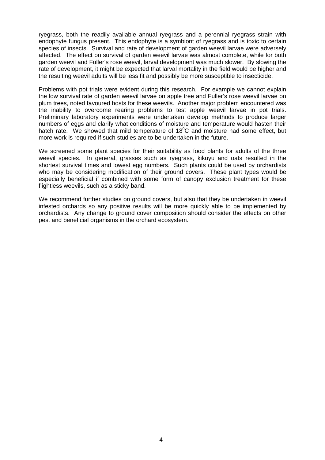ryegrass, both the readily available annual ryegrass and a perennial ryegrass strain with endophyte fungus present. This endophyte is a symbiont of ryegrass and is toxic to certain species of insects. Survival and rate of development of garden weevil larvae were adversely affected. The effect on survival of garden weevil larvae was almost complete, while for both garden weevil and Fuller's rose weevil, larval development was much slower. By slowing the rate of development, it might be expected that larval mortality in the field would be higher and the resulting weevil adults will be less fit and possibly be more susceptible to insecticide.

Problems with pot trials were evident during this research. For example we cannot explain the low survival rate of garden weevil larvae on apple tree and Fuller's rose weevil larvae on plum trees, noted favoured hosts for these weevils. Another major problem encountered was the inability to overcome rearing problems to test apple weevil larvae in pot trials. Preliminary laboratory experiments were undertaken develop methods to produce larger numbers of eggs and clarify what conditions of moisture and temperature would hasten their hatch rate. We showed that mild temperature of  $18^{\circ}$ C and moisture had some effect, but more work is required if such studies are to be undertaken in the future.

We screened some plant species for their suitability as food plants for adults of the three weevil species. In general, grasses such as ryegrass, kikuyu and oats resulted in the shortest survival times and lowest egg numbers. Such plants could be used by orchardists who may be considering modification of their ground covers. These plant types would be especially beneficial if combined with some form of canopy exclusion treatment for these flightless weevils, such as a sticky band.

We recommend further studies on ground covers, but also that they be undertaken in weevil infested orchards so any positive results will be more quickly able to be implemented by orchardists. Any change to ground cover composition should consider the effects on other pest and beneficial organisms in the orchard ecosystem.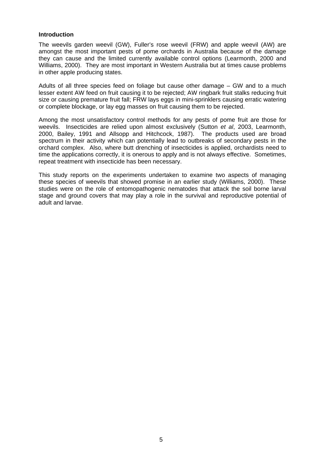### **Introduction**

The weevils garden weevil (GW), Fuller's rose weevil (FRW) and apple weevil (AW) are amongst the most important pests of pome orchards in Australia because of the damage they can cause and the limited currently available control options (Learmonth, 2000 and Williams, 2000). They are most important in Western Australia but at times cause problems in other apple producing states.

Adults of all three species feed on foliage but cause other damage – GW and to a much lesser extent AW feed on fruit causing it to be rejected; AW ringbark fruit stalks reducing fruit size or causing premature fruit fall; FRW lays eggs in mini-sprinklers causing erratic watering or complete blockage, or lay egg masses on fruit causing them to be rejected.

Among the most unsatisfactory control methods for any pests of pome fruit are those for weevils. Insecticides are relied upon almost exclusively (Sutton *et al*, 2003, Learmonth, 2000, Bailey, 1991 and Allsopp and Hitchcock, 1987). The products used are broad spectrum in their activity which can potentially lead to outbreaks of secondary pests in the orchard complex. Also, where butt drenching of insecticides is applied, orchardists need to time the applications correctly, it is onerous to apply and is not always effective. Sometimes, repeat treatment with insecticide has been necessary.

This study reports on the experiments undertaken to examine two aspects of managing these species of weevils that showed promise in an earlier study (Williams, 2000). These studies were on the role of entomopathogenic nematodes that attack the soil borne larval stage and ground covers that may play a role in the survival and reproductive potential of adult and larvae.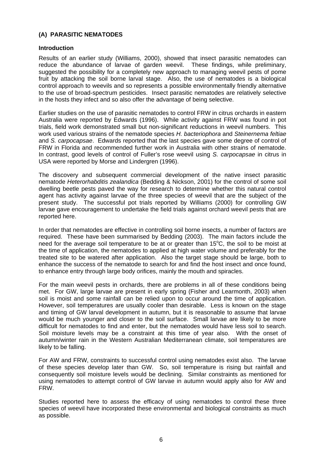## **(A) PARASITIC NEMATODES**

### **Introduction**

Results of an earlier study (Williams, 2000), showed that insect parasitic nematodes can reduce the abundance of larvae of garden weevil. These findings, while preliminary, suggested the possibility for a completely new approach to managing weevil pests of pome fruit by attacking the soil borne larval stage. Also, the use of nematodes is a biological control approach to weevils and so represents a possible environmentally friendly alternative to the use of broad-spectrum pesticides. Insect parasitic nematodes are relatively selective in the hosts they infect and so also offer the advantage of being selective.

Earlier studies on the use of parasitic nematodes to control FRW in citrus orchards in eastern Australia were reported by Edwards (1996). While activity against FRW was found in pot trials, field work demonstrated small but non-significant reductions in weevil numbers. This work used various strains of the nematode species *H. bacteriophora* and *Steinernema feltiae* and *S. carpocapsae*. Edwards reported that the last species gave some degree of control of FRW in Florida and recommended further work in Australia with other strains of nematode. In contrast, good levels of control of Fuller's rose weevil using *S. carpocapsae* in citrus in USA were reported by Morse and Lindergren (1996).

The discovery and subsequent commercial development of the native insect parasitic nematode *Heterorhabditis zealandica* (Bedding & Nickson, 2001) for the control of some soil dwelling beetle pests paved the way for research to determine whether this natural control agent has activity against larvae of the three species of weevil that are the subject of the present study. The successful pot trials reported by Williams (2000) for controlling GW larvae gave encouragement to undertake the field trials against orchard weevil pests that are reported here.

In order that nematodes are effective in controlling soil borne insects, a number of factors are required. These have been summarised by Bedding (2003). The main factors include the need for the average soil temperature to be at or greater than  $15^{\circ}$ C, the soil to be moist at the time of application, the nematodes to applied at high water volume and preferably for the treated site to be watered after application. Also the target stage should be large, both to enhance the success of the nematode to search for and find the host insect and once found, to enhance entry through large body orifices, mainly the mouth and spiracles.

For the main weevil pests in orchards, there are problems in all of these conditions being met. For GW, large larvae are present in early spring (Fisher and Learmonth, 2003) when soil is moist and some rainfall can be relied upon to occur around the time of application. However, soil temperatures are usually cooler than desirable. Less is known on the stage and timing of GW larval development in autumn, but it is reasonable to assume that larvae would be much younger and closer to the soil surface. Small larvae are likely to be more difficult for nematodes to find and enter, but the nematodes would have less soil to search. Soil moisture levels may be a constraint at this time of year also. With the onset of autumn/winter rain in the Western Australian Mediterranean climate, soil temperatures are likely to be falling.

For AW and FRW, constraints to successful control using nematodes exist also. The larvae of these species develop later than GW. So, soil temperature is rising but rainfall and consequently soil moisture levels would be declining. Similar constraints as mentioned for using nematodes to attempt control of GW larvae in autumn would apply also for AW and FRW.

Studies reported here to assess the efficacy of using nematodes to control these three species of weevil have incorporated these environmental and biological constraints as much as possible.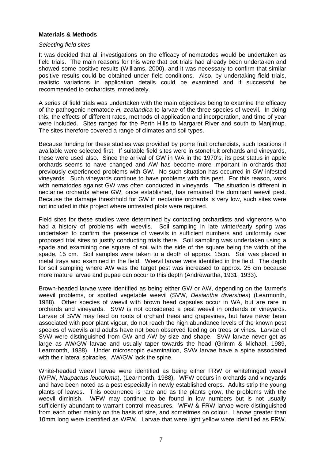## **Materials & Methods**

### *Selecting field sites*

It was decided that all investigations on the efficacy of nematodes would be undertaken as field trials. The main reasons for this were that pot trials had already been undertaken and showed some positive results (Williams, 2000), and it was necessary to confirm that similar positive results could be obtained under field conditions. Also, by undertaking field trials, realistic variations in application details could be examined and if successful be recommended to orchardists immediately.

A series of field trials was undertaken with the main objectives being to examine the efficacy of the pathogenic nematode *H. zealandica* to larvae of the three species of weevil. In doing this, the effects of different rates, methods of application and incorporation, and time of year were included. Sites ranged for the Perth Hills to Margaret River and south to Manjimup. The sites therefore covered a range of climates and soil types.

Because funding for these studies was provided by pome fruit orchardists, such locations if available were selected first. If suitable field sites were in stonefruit orchards and vineyards, these were used also. Since the arrival of GW in WA in the 1970's, its pest status in apple orchards seems to have changed and AW has become more important in orchards that previously experienced problems with GW. No such situation has occurred in GW infested vineyards. Such vineyards continue to have problems with this pest. For this reason, work with nematodes against GW was often conducted in vineyards. The situation is different in nectarine orchards where GW, once established, has remained the dominant weevil pest. Because the damage threshhold for GW in nectarine orchards is very low, such sites were not included in this project where untreated plots were required.

Field sites for these studies were determined by contacting orchardists and vignerons who had a history of problems with weevils. Soil sampling in late winter/early spring was undertaken to confirm the presence of weevils in sufficient numbers and uniformity over proposed trial sites to justify conducting trials there. Soil sampling was undertaken using a spade and examining one square of soil with the side of the square being the width of the spade, 15 cm. Soil samples were taken to a depth of approx. 15cm. Soil was placed in metal trays and examined in the field. Weevil larvae were identified in the field. The depth for soil sampling where AW was the target pest was increased to approx. 25 cm because more mature larvae and pupae can occur to this depth (Andrewartha, 1931, 1933).

Brown-headed larvae were identified as being either GW or AW, depending on the farmer's weevil problems, or spotted vegetable weevil (SVW, *Desiantha diversipes*) (Learmonth, 1988). Other species of weevil with brown head capsules occur in WA, but are rare in orchards and vineyards. SVW is not considered a pest weevil in orchards or vineyards. Larvae of SVW may feed on roots of orchard trees and grapevines, but have never been associated with poor plant vigour, do not reach the high abundance levels of the known pest species of weevils and adults have not been observed feeding on trees or vines. Larvae of SVW were distinguished from GW and AW by size and shape. SVW larvae never get as large as AW/GW larvae and usually taper towards the head (Grimm & Michael, 1989, Learmonth, 1988). Under microscopic examination, SVW larvae have a spine associated with their lateral spiracles. AW/GW lack the spine.

White-headed weevil larvae were identified as being either FRW or whitefringed weevil (WFW, *Naupactus leucoloma*), (Learmonth, 1988). WFW occurs in orchards and vineyards and have been noted as a pest especially in newly established crops. Adults strip the young plants of leaves. This occurrence is rare and as the plants grow, the problems with the weevil diminish. WFW may continue to be found in low numbers but is not usually sufficiently abundant to warrant control measures. WFW & FRW larvae were distinguished from each other mainly on the basis of size, and sometimes on colour. Larvae greater than 10mm long were identified as WFW. Larvae that were light yellow were identified as FRW.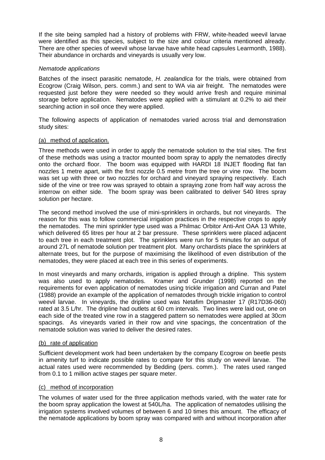If the site being sampled had a history of problems with FRW, white-headed weevil larvae were identified as this species, subject to the size and colour criteria mentioned already. There are other species of weevil whose larvae have white head capsules Learmonth, 1988). Their abundance in orchards and vineyards is usually very low.

## *Nematode applications*

Batches of the insect parasitic nematode, *H. zealandica* for the trials, were obtained from Ecogrow (Craig Wilson, pers. comm.) and sent to WA via air freight. The nematodes were requested just before they were needed so they would arrive fresh and require minimal storage before application. Nematodes were applied with a stimulant at 0.2% to aid their searching action in soil once they were applied.

The following aspects of application of nematodes varied across trial and demonstration study sites:

## (a) method of application.

Three methods were used in order to apply the nematode solution to the trial sites. The first of these methods was using a tractor mounted boom spray to apply the nematodes directly onto the orchard floor. The boom was equipped with HARDI 18 INJET flooding flat fan nozzles 1 metre apart, with the first nozzle 0.5 metre from the tree or vine row. The boom was set up with three or two nozzles for orchard and vineyard spraying respectively. Each side of the vine or tree row was sprayed to obtain a spraying zone from half way across the interrow on either side. The boom spray was been calibrated to deliver 540 litres spray solution per hectare.

The second method involved the use of mini-sprinklers in orchards, but not vineyards. The reason for this was to follow commercial irrigation practices in the respective crops to apply the nematodes. The mini sprinkler type used was a Philmac Orbitor Anti-Ant OAA 13 White, which delivered 65 litres per hour at 2 bar pressure. These sprinklers were placed adjacent to each tree in each treatment plot. The sprinklers were run for 5 minutes for an output of around 27L of nematode solution per treatment plot. Many orchardists place the sprinklers at alternate trees, but for the purpose of maximising the likelihood of even distribution of the nematodes, they were placed at each tree in this series of experiments.

In most vineyards and many orchards, irrigation is applied through a dripline. This system was also used to apply nematodes. Kramer and Grunder (1998) reported on the requirements for even application of nematodes using trickle irrigation and Curran and Patel (1988) provide an example of the application of nematodes through trickle irrigation to control weevil larvae. In vineyards, the dripline used was Netafim Dripmaster 17 (R17D36-060) rated at 3.5 L/hr. The dripline had outlets at 60 cm intervals. Two lines were laid out, one on each side of the treated vine row in a staggered pattern so nematodes were applied at 30cm spacings. As vineyards varied in their row and vine spacings, the concentration of the nematode solution was varied to deliver the desired rates.

## (b) rate of application

Sufficient development work had been undertaken by the company Ecogrow on beetle pests in amenity turf to indicate possible rates to compare for this study on weevil larvae. The actual rates used were recommended by Bedding (pers. comm.). The rates used ranged from 0.1 to 1 million active stages per square meter.

## (c) method of incorporation

The volumes of water used for the three application methods varied, with the water rate for the boom spray application the lowest at 540L/ha. The application of nematodes utilising the irrigation systems involved volumes of between 6 and 10 times this amount. The efficacy of the nematode applications by boom spray was compared with and without incorporation after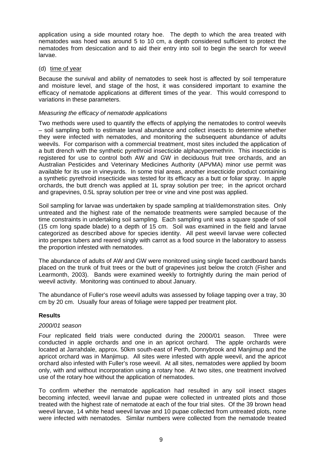application using a side mounted rotary hoe. The depth to which the area treated with nematodes was hoed was around 5 to 10 cm, a depth considered sufficient to protect the nematodes from desiccation and to aid their entry into soil to begin the search for weevil larvae.

(d) time of year

Because the survival and ability of nematodes to seek host is affected by soil temperature and moisture level, and stage of the host, it was considered important to examine the efficacy of nematode applications at different times of the year. This would correspond to variations in these parameters.

## *Measuring the efficacy of nematode applications*

Two methods were used to quantify the effects of applying the nematodes to control weevils – soil sampling both to estimate larval abundance and collect insects to determine whether they were infected with nematodes, and monitoring the subsequent abundance of adults weevils. For comparison with a commercial treatment, most sites included the application of a butt drench with the synthetic pyrethroid insecticide alphacypermethrin. This insecticide is registered for use to control both AW and GW in deciduous fruit tree orchards, and an Australian Pesticides and Veterinary Medicines Authority (APVMA) minor use permit was available for its use in vineyards. In some trial areas, another insecticide product containing a synthetic pyrethroid insecticide was tested for its efficacy as a butt or foliar spray. In apple orchards, the butt drench was applied at 1L spray solution per tree; in the apricot orchard and grapevines, 0.5L spray solution per tree or vine and vine post was applied.

Soil sampling for larvae was undertaken by spade sampling at trial/demonstration sites. Only untreated and the highest rate of the nematode treatments were sampled because of the time constraints in undertaking soil sampling. Each sampling unit was a square spade of soil (15 cm long spade blade) to a depth of 15 cm. Soil was examined in the field and larvae categorized as described above for species identity. All pest weevil larvae were collected into perspex tubers and reared singly with carrot as a food source in the laboratory to assess the proportion infested with nematodes.

The abundance of adults of AW and GW were monitored using single faced cardboard bands placed on the trunk of fruit trees or the butt of grapevines just below the crotch (Fisher and Learmonth, 2003). Bands were examined weekly to fortnightly during the main period of weevil activity. Monitoring was continued to about January.

The abundance of Fuller's rose weevil adults was assessed by foliage tapping over a tray, 30 cm by 20 cm. Usually four areas of foliage were tapped per treatment plot.

## **Results**

## *2000/01 season*

Four replicated field trials were conducted during the 2000/01 season. Three were conducted in apple orchards and one in an apricot orchard. The apple orchards were located at Jarrahdale, approx. 50km south-east of Perth, Donnybrook and Manjimup and the apricot orchard was in Manjimup. All sites were infested with apple weevil, and the apricot orchard also infested with Fuller's rose weevil. At all sites, nematodes were applied by boom only, with and without incorporation using a rotary hoe. At two sites, one treatment involved use of the rotary hoe without the application of nematodes.

To confirm whether the nematode application had resulted in any soil insect stages becoming infected, weevil larvae and pupae were collected in untreated plots and those treated with the highest rate of nematode at each of the four trial sites. Of the 39 brown head weevil larvae, 14 white head weevil larvae and 10 pupae collected from untreated plots, none were infected with nematodes. Similar numbers were collected from the nematode treated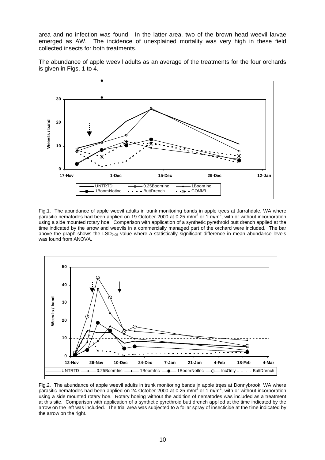area and no infection was found. In the latter area, two of the brown head weevil larvae emerged as AW. The incidence of unexplained mortality was very high in these field collected insects for both treatments.

The abundance of apple weevil adults as an average of the treatments for the four orchards is given in Figs. 1 to 4.



Fig.1. The abundance of apple weevil adults in trunk monitoring bands in apple trees at Jarrahdale, WA where parasitic nematodes had been applied on 19 October 2000 at 0.25 m/m<sup>2</sup> or 1 m/m<sup>2</sup>, with or without incorporation using a side mounted rotary hoe. Comparison with application of a synthetic pyrethroid butt drench applied at the time indicated by the arrow and weevils in a commercially managed part of the orchard were included. The bar above the graph shows the  $LSD<sub>0.05</sub>$  value where a statistically significant difference in mean abundance levels was found from ANOVA.



Fig.2. The abundance of apple weevil adults in trunk monitoring bands in apple trees at Donnybrook, WA where parasitic nematodes had been applied on 24 October 2000 at 0.25 m/m<sup>2</sup> or 1 m/m<sup>2</sup>, with or without incorporation using a side mounted rotary hoe. Rotary hoeing without the addition of nematodes was included as a treatment at this site. Comparison with application of a synthetic pyrethroid butt drench applied at the time indicated by the arrow on the left was included. The trial area was subjected to a foliar spray of insecticide at the time indicated by the arrow on the right.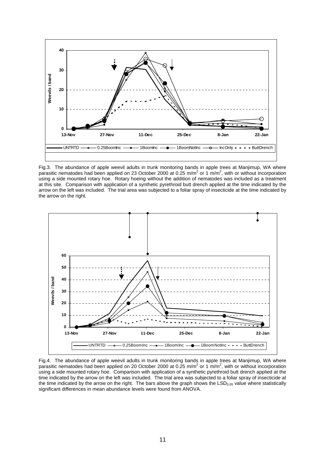

Fig.3. The abundance of apple weevil adults in trunk monitoring bands in apple trees at Manjimup, WA where parasitic nematodes had been applied on 23 October 2000 at 0.25 m/m<sup>2</sup> or 1 m/m<sup>2</sup>, with or without incorporation using a side mounted rotary hoe. Rotary hoeing without the addition of nematodes was included as a treatment at this site. Comparison with application of a synthetic pyrethroid butt drench applied at the time indicated by the arrow on the left was included. The trial area was subjected to a foliar spray of insecticide at the time indicated by the arrow on the right.



Fig.4. The abundance of apple weevil adults in trunk monitoring bands in apple trees at Manjimup, WA where parasitic nematodes had been applied on 20 October 2000 at 0.25 m/m<sup>2</sup> or 1 m/m<sup>2</sup>, with or without incorporation using a side mounted rotary hoe. Comparison with application of a synthetic pyrethroid butt drench applied at the time indicated by the arrow on the left was included. The trial area was subjected to a foliar spray of insecticide at the time indicated by the arrow on the right. The bars above the graph shows the  $LSD<sub>0.05</sub>$  value where statistically significant differences in mean abundance levels were found from ANOVA.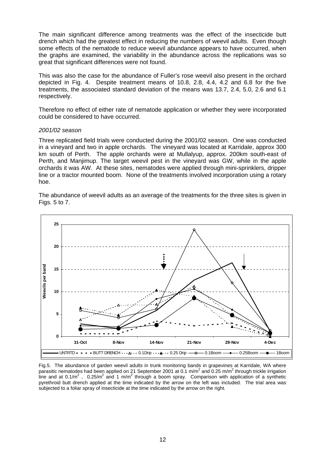The main significant difference among treatments was the effect of the insecticide butt drench which had the greatest effect in reducing the numbers of weevil adults. Even though some effects of the nematode to reduce weevil abundance appears to have occurred, when the graphs are examined, the variability in the abundance across the replications was so great that significant differences were not found.

This was also the case for the abundance of Fuller's rose weevil also present in the orchard depicted in Fig. 4. Despite treatment means of 10.8, 2.8, 4.4, 4.2 and 6.8 for the five treatments, the associated standard deviation of the means was 13.7, 2.4, 5.0, 2.6 and 6.1 respectively.

Therefore no effect of either rate of nematode application or whether they were incorporated could be considered to have occurred.

### *2001/02 season*

Three replicated field trials were conducted during the 2001/02 season. One was conducted in a vineyard and two in apple orchards. The vineyard was located at Karridale, approx 300 km south of Perth. The apple orchards were at Mullalyup, approx. 200km south-east of Perth, and Manjimup. The target weevil pest in the vineyard was GW, while in the apple orchards it was AW. At these sites, nematodes were applied through mini-sprinklers, dripper line or a tractor mounted boom. None of the treatments involved incorporation using a rotary hoe.

The abundance of weevil adults as an average of the treatments for the three sites is given in Figs. 5 to 7.



Fig.5. The abundance of garden weevil adults in trunk monitoring bands in grapevines at Karridale, WA where parasitic nematodes had been applied on 21 September 2001 at 0.1 m/m<sup>2</sup> and 0.25 m/m<sup>2</sup> through trickle irrigation line and at 0.1/m<sup>2</sup>, 0.25/m<sup>2</sup> and 1 m/m<sup>2</sup> through a boom spray. Comparison with application of a synthetic pyrethroid butt drench applied at the time indicated by the arrow on the left was included. The trial area was subjected to a foliar spray of insecticide at the time indicated by the arrow on the right.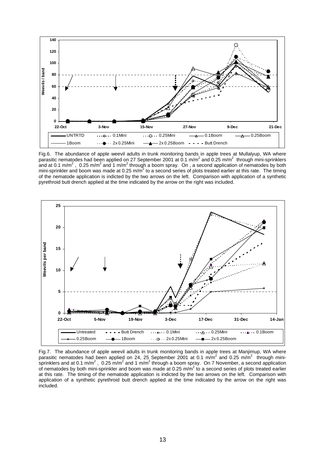

Fig.6. The abundance of apple weevil adults in trunk monitoring bands in apple trees at Mullalyup, WA where parasitic nematodes had been applied on 27 September 2001 at 0.1 m/m<sup>2</sup> and 0.25 m/m<sup>2</sup> through mini-sprinklers and at 0.1 m/m<sup>2</sup>, 0.25 m/m<sup>2</sup> and 1 m/m<sup>2</sup> through a boom spray. On , a second application of nematodes by both mini-sprinkler and boom was made at 0.25 m/m<sup>2</sup> to a second series of plots treated earlier at this rate. The timing of the nematode application is indicted by the two arrows on the left. Comparison with application of a synthetic pyrethroid butt drench applied at the time indicated by the arrow on the right was included.



Fig.7. The abundance of apple weevil adults in trunk monitoring bands in apple trees at Manjimup, WA where parasitic nematodes had been applied on 24, 25 September 2001 at 0.1 m/m<sup>2</sup> and 0.25 m/m<sup>2</sup> through minisprinklers and at 0.1 m/m<sup>2</sup>, 0.25 m/m<sup>2</sup> and 1 m/m<sup>2</sup> through a boom spray. On 7 November, a second application of nematodes by both mini-sprinkler and boom was made at 0.25 m/m<sup>2</sup> to a second series of plots treated earlier at this rate. The timing of the nematode application is indicted by the two arrows on the left. Comparison with application of a synthetic pyrethroid butt drench applied at the time indicated by the arrow on the right was included.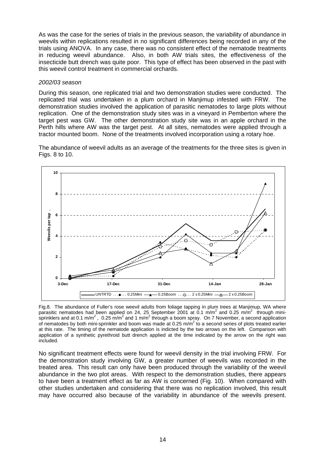As was the case for the series of trials in the previous season, the variability of abundance in weevils within replications resulted in no significant differences being recorded in any of the trials using ANOVA. In any case, there was no consistent effect of the nematode treatments in reducing weevil abundance. Also, in both AW trials sites, the effectiveness of the insecticide butt drench was quite poor. This type of effect has been observed in the past with this weevil control treatment in commercial orchards.

## *2002/03 season*

During this season, one replicated trial and two demonstration studies were conducted. The replicated trial was undertaken in a plum orchard in Manjimup infested with FRW. The demonstration studies involved the application of parasitic nematodes to large plots without replication. One of the demonstration study sites was in a vineyard in Pemberton where the target pest was GW. The other demonstration study site was in an apple orchard in the Perth hills where AW was the target pest. At all sites, nematodes were applied through a tractor mounted boom. None of the treatments involved incorporation using a rotary hoe.

The abundance of weevil adults as an average of the treatments for the three sites is given in Figs. 8 to 10.



Fig.8. The abundance of Fuller's rose weevil adults from foliage tapping in plum trees at Manjimup, WA where parasitic nematodes had been applied on 24, 25 September 2001 at 0.1 m/m<sup>2</sup> and 0.25 m/m<sup>2</sup> through minisprinklers and at 0.1 m/m<sup>2</sup>, 0.25 m/m<sup>2</sup> and 1 m/m<sup>2</sup> through a boom spray. On 7 November, a second application of nematodes by both mini-sprinkler and boom was made at 0.25 m/m<sup>2</sup> to a second series of plots treated earlier at this rate. The timing of the nematode application is indicted by the two arrows on the left. Comparison with application of a synthetic pyrethroid butt drench applied at the time indicated by the arrow on the right was included.

No significant treatment effects were found for weevil density in the trial involving FRW. For the demonstration study involving GW, a greater number of weevils was recorded in the treated area. This result can only have been produced through the variability of the weevil abundance in the two plot areas. With respect to the demonstration studies, there appears to have been a treatment effect as far as AW is concerned (Fig. 10). When compared with other studies undertaken and considering that there was no replication involved, this result may have occurred also because of the variability in abundance of the weevils present.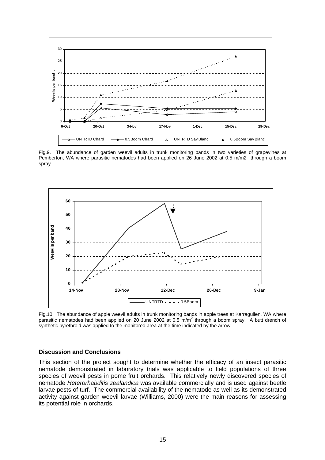

Fig.9. The abundance of garden weevil adults in trunk monitoring bands in two varieties of grapevines at Pemberton, WA where parasitic nematodes had been applied on 26 June 2002 at 0.5 m/m2 through a boom spray.



Fig.10. The abundance of apple weevil adults in trunk monitoring bands in apple trees at Karragullen, WA where parasitic nematodes had been applied on 20 June 2002 at 0.5 m/m<sup>2</sup> through a boom spray. A butt drench of synthetic pyrethroid was applied to the monitored area at the time indicated by the arrow.

#### **Discussion and Conclusions**

This section of the project sought to determine whether the efficacy of an insect parasitic nematode demonstrated in laboratory trials was applicable to field populations of three species of weevil pests in pome fruit orchards. This relatively newly discovered species of nematode *Heterorhabditis zealandica* was available commercially and is used against beetle larvae pests of turf. The commercial availability of the nematode as well as its demonstrated activity against garden weevil larvae (Williams, 2000) were the main reasons for assessing its potential role in orchards.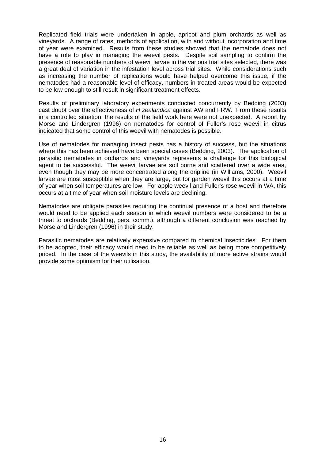Replicated field trials were undertaken in apple, apricot and plum orchards as well as vineyards. A range of rates, methods of application, with and without incorporation and time of year were examined. Results from these studies showed that the nematode does not have a role to play in managing the weevil pests. Despite soil sampling to confirm the presence of reasonable numbers of weevil larvae in the various trial sites selected, there was a great deal of variation in the infestation level across trial sites. While considerations such as increasing the number of replications would have helped overcome this issue, if the nematodes had a reasonable level of efficacy, numbers in treated areas would be expected to be low enough to still result in significant treatment effects.

Results of preliminary laboratory experiments conducted concurrently by Bedding (2003) cast doubt over the effectiveness of *H zealandica* against AW and FRW. From these results in a controlled situation, the results of the field work here were not unexpected. A report by Morse and Lindergren (1996) on nematodes for control of Fuller's rose weevil in citrus indicated that some control of this weevil with nematodes is possible.

Use of nematodes for managing insect pests has a history of success, but the situations where this has been achieved have been special cases (Bedding, 2003). The application of parasitic nematodes in orchards and vineyards represents a challenge for this biological agent to be successful. The weevil larvae are soil borne and scattered over a wide area, even though they may be more concentrated along the dripline (in Williams, 2000). Weevil larvae are most susceptible when they are large, but for garden weevil this occurs at a time of year when soil temperatures are low. For apple weevil and Fuller's rose weevil in WA, this occurs at a time of year when soil moisture levels are declining.

Nematodes are obligate parasites requiring the continual presence of a host and therefore would need to be applied each season in which weevil numbers were considered to be a threat to orchards (Bedding, pers. comm.), although a different conclusion was reached by Morse and Lindergren (1996) in their study.

Parasitic nematodes are relatively expensive compared to chemical insecticides. For them to be adopted, their efficacy would need to be reliable as well as being more competitively priced. In the case of the weevils in this study, the availability of more active strains would provide some optimism for their utilisation.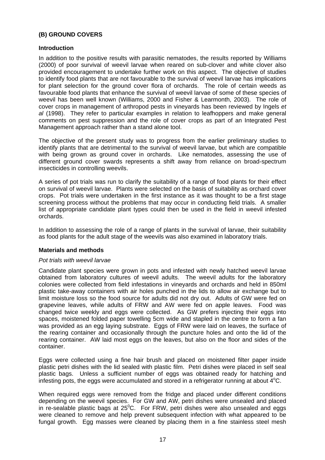## **(B) GROUND COVERS**

## **Introduction**

In addition to the positive results with parasitic nematodes, the results reported by Williams (2000) of poor survival of weevil larvae when reared on sub-clover and white clover also provided encouragement to undertake further work on this aspect. The objective of studies to identify food plants that are not favourable to the survival of weevil larvae has implications for plant selection for the ground cover flora of orchards. The role of certain weeds as favourable food plants that enhance the survival of weevil larvae of some of these species of weevil has been well known (Williams, 2000 and Fisher & Learmonth, 2003). The role of cover crops in management of arthropod pests in vineyards has been reviewed by Ingels *et al* (1998). They refer to particular examples in relation to leafhoppers and make general comments on pest suppression and the role of cover crops as part of an Integrated Pest Management approach rather than a stand alone tool.

The objective of the present study was to progress from the earlier preliminary studies to identify plants that are detrimental to the survival of weevil larvae, but which are compatible with being grown as ground cover in orchards. Like nematodes, assessing the use of different ground cover swards represents a shift away from reliance on broad-spectrum insecticides in controlling weevils.

A series of pot trials was run to clarify the suitability of a range of food plants for their effect on survival of weevil larvae. Plants were selected on the basis of suitability as orchard cover crops. Pot trials were undertaken in the first instance as it was thought to be a first stage screening process without the problems that may occur in conducting field trials. A smaller list of appropriate candidate plant types could then be used in the field in weevil infested orchards.

In addition to assessing the role of a range of plants in the survival of larvae, their suitability as food plants for the adult stage of the weevils was also examined in laboratory trials.

## **Materials and methods**

### *Pot trials with weevil larvae*

Candidate plant species were grown in pots and infested with newly hatched weevil larvae obtained from laboratory cultures of weevil adults. The weevil adults for the laboratory colonies were collected from field infestations in vineyards and orchards and held in 850ml plastic take-away containers with air holes punched in the lids to allow air exchange but to limit moisture loss so the food source for adults did not dry out. Adults of GW were fed on grapevine leaves, while adults of FRW and AW were fed on apple leaves. Food was changed twice weekly and eggs were collected. As GW prefers injecting their eggs into spaces, moistened folded paper towelling 5cm wide and stapled in the centre to form a fan was provided as an egg laying substrate. Eggs of FRW were laid on leaves, the surface of the rearing container and occasionally through the puncture holes and onto the lid of the rearing container. AW laid most eggs on the leaves, but also on the floor and sides of the container.

Eggs were collected using a fine hair brush and placed on moistened filter paper inside plastic petri dishes with the lid sealed with plastic film. Petri dishes were placed in self seal plastic bags. Unless a sufficient number of eggs was obtained ready for hatching and infesting pots, the eggs were accumulated and stored in a refrigerator running at about  $\overline{4}^{\circ}$ C.

When required eggs were removed from the fridge and placed under different conditions depending on the weevil species. For GW and AW, petri dishes were unsealed and placed in re-sealable plastic bags at  $25^{\circ}$ C. For FRW, petri dishes were also unsealed and eggs were cleaned to remove and help prevent subsequent infection with what appeared to be fungal growth. Egg masses were cleaned by placing them in a fine stainless steel mesh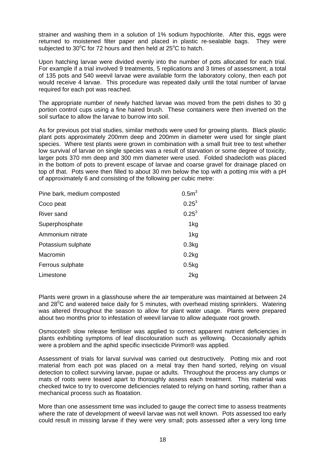strainer and washing them in a solution of 1% sodium hypochlorite. After this, eggs were returned to moistened filter paper and placed in plastic re-sealable bags. They were subjected to  $30^{\circ}$ C for 72 hours and then held at  $25^{\circ}$ C to hatch.

Upon hatching larvae were divided evenly into the number of pots allocated for each trial. For example if a trial involved 9 treatments, 5 replications and 3 times of assessment, a total of 135 pots and 540 weevil larvae were available form the laboratory colony, then each pot would receive 4 larvae. This procedure was repeated daily until the total number of larvae required for each pot was reached.

The appropriate number of newly hatched larvae was moved from the petri dishes to 30 g portion control cups using a fine haired brush. These containers were then inverted on the soil surface to allow the larvae to burrow into soil.

As for previous pot trial studies, similar methods were used for growing plants. Black plastic plant pots approximately 200mm deep and 200mm in diameter were used for single plant species. Where test plants were grown in combination with a small fruit tree to test whether low survival of larvae on single species was a result of starvation or some degree of toxicity, larger pots 370 mm deep and 300 mm diameter were used. Folded shadecloth was placed in the bottom of pots to prevent escape of larvae and coarse gravel for drainage placed on top of that. Pots were then filled to about 30 mm below the top with a potting mix with a pH of approximately 6 and consisting of the following per cubic metre:

| Pine bark, medium composted | 0.5 <sup>3</sup> |
|-----------------------------|------------------|
| Coco peat                   | $0.25^3$         |
| River sand                  | $0.25^3$         |
| Superphosphate              | 1kg              |
| Ammonium nitrate            | 1kg              |
| Potassium sulphate          | 0.3kg            |
| Macromin                    | 0.2kg            |
| Ferrous sulphate            | 0.5kg            |
| Limestone                   | 2kg              |

Plants were grown in a glasshouse where the air temperature was maintained at between 24 and 28 $\mathrm{^0C}$  and watered twice daily for 5 minutes, with overhead misting sprinklers. Watering was altered throughout the season to allow for plant water usage. Plants were prepared about two months prior to infestation of weevil larvae to allow adequate root growth.

Osmocote® slow release fertiliser was applied to correct apparent nutrient deficiencies in plants exhibiting symptoms of leaf discolouration such as yellowing. Occasionally aphids were a problem and the aphid specific insecticide Pirimor® was applied.

Assessment of trials for larval survival was carried out destructively. Potting mix and root material from each pot was placed on a metal tray then hand sorted, relying on visual detection to collect surviving larvae, pupae or adults. Throughout the process any clumps or mats of roots were teased apart to thoroughly assess each treatment. This material was checked twice to try to overcome deficiencies related to relying on hand sorting, rather than a mechanical process such as floatation.

More than one assessment time was included to gauge the correct time to assess treatments where the rate of development of weevil larvae was not well known. Pots assessed too early could result in missing larvae if they were very small; pots assessed after a very long time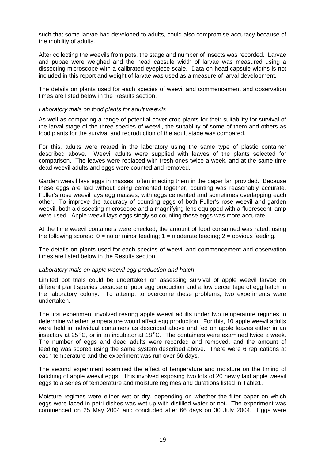such that some larvae had developed to adults, could also compromise accuracy because of the mobility of adults.

After collecting the weevils from pots, the stage and number of insects was recorded. Larvae and pupae were weighed and the head capsule width of larvae was measured using a dissecting microscope with a calibrated eyepiece scale. Data on head capsule widths is not included in this report and weight of larvae was used as a measure of larval development.

The details on plants used for each species of weevil and commencement and observation times are listed below in the Results section.

### *Laboratory trials on food plants for adult weevils*

As well as comparing a range of potential cover crop plants for their suitability for survival of the larval stage of the three species of weevil, the suitability of some of them and others as food plants for the survival and reproduction of the adult stage was compared.

For this, adults were reared in the laboratory using the same type of plastic container described above. Weevil adults were supplied with leaves of the plants selected for comparison. The leaves were replaced with fresh ones twice a week, and at the same time dead weevil adults and eggs were counted and removed.

Garden weevil lays eggs in masses, often injecting them in the paper fan provided. Because these eggs are laid without being cemented together, counting was reasonably accurate. Fuller's rose weevil lays egg masses, with eggs cemented and sometimes overlapping each other. To improve the accuracy of counting eggs of both Fuller's rose weevil and garden weevil, both a dissecting microscope and a magnifying lens equipped with a fluorescent lamp were used. Apple weevil lays eggs singly so counting these eggs was more accurate.

At the time weevil containers were checked, the amount of food consumed was rated, using the following scores:  $0 =$  no or minor feeding:  $1 =$  moderate feeding:  $2 =$  obvious feeding.

The details on plants used for each species of weevil and commencement and observation times are listed below in the Results section.

### *Laboratory trials on apple weevil egg production and hatch*

Limited pot trials could be undertaken on assessing survival of apple weevil larvae on different plant species because of poor egg production and a low percentage of egg hatch in the laboratory colony. To attempt to overcome these problems, two experiments were undertaken.

The first experiment involved rearing apple weevil adults under two temperature regimes to determine whether temperature would affect egg production. For this, 10 apple weevil adults were held in individual containers as described above and fed on apple leaves either in an insectary at 25 $\mathrm{^{\circ}C}$ , or in an incubator at 18 $\mathrm{^{\circ}C}$ . The containers were examined twice a week. The number of eggs and dead adults were recorded and removed, and the amount of feeding was scored using the same system described above. There were 6 replications at each temperature and the experiment was run over 66 days.

The second experiment examined the effect of temperature and moisture on the timing of hatching of apple weevil eggs. This involved exposing two lots of 20 newly laid apple weevil eggs to a series of temperature and moisture regimes and durations listed in Table1.

Moisture regimes were either wet or dry, depending on whether the filter paper on which eggs were laced in petri dishes was wet up with distilled water or not. The experiment was commenced on 25 May 2004 and concluded after 66 days on 30 July 2004. Eggs were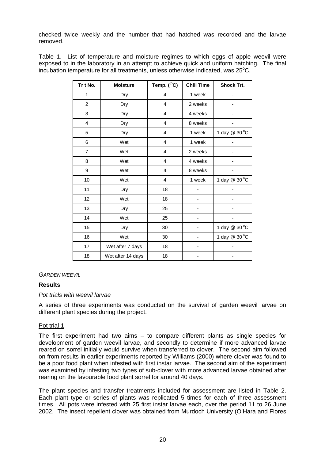checked twice weekly and the number that had hatched was recorded and the larvae removed.

Table 1. List of temperature and moisture regimes to which eggs of apple weevil were exposed to in the laboratory in an attempt to achieve quick and uniform hatching. The final incubation temperature for all treatments, unless otherwise indicated, was  $25^{\circ}$ C.

| Tr t No.                | <b>Moisture</b>   | Temp. ( <sup>(°</sup> C) | <b>Chill Time</b> | <b>Shock Trt.</b> |
|-------------------------|-------------------|--------------------------|-------------------|-------------------|
| 1                       | Dry               | 4                        | 1 week            |                   |
| $\overline{c}$          | Dry               | $\overline{\mathbf{4}}$  | 2 weeks           |                   |
| 3                       | Dry               | 4                        | 4 weeks           |                   |
| $\overline{\mathbf{4}}$ | Dry               | 4                        | 8 weeks           |                   |
| 5                       | Dry               | $\overline{\mathbf{4}}$  | 1 week            | 1 day @ 30 °C     |
| 6                       | Wet               | 4                        | 1 week            |                   |
| $\overline{7}$          | Wet               | 4                        | 2 weeks           |                   |
| 8                       | Wet               | 4                        | 4 weeks           |                   |
| 9                       | Wet               | $\overline{4}$           | 8 weeks           |                   |
| 10                      | Wet               | 4                        | 1 week            | 1 day @ 30 °C     |
| 11                      | Dry               | 18                       |                   |                   |
| 12                      | Wet               | 18                       |                   |                   |
| 13                      | Dry               | 25                       |                   |                   |
| 14                      | Wet               | 25                       |                   |                   |
| 15                      | Dry               | 30                       |                   | 1 day @ 30 °C     |
| 16                      | Wet               | 30                       |                   | 1 day @ 30 °C     |
| 17                      | Wet after 7 days  | 18                       |                   |                   |
| 18                      | Wet after 14 days | 18                       |                   |                   |

### *GARDEN WEEVIL*

## **Results**

### *Pot trials with weevil larvae*

A series of three experiments was conducted on the survival of garden weevil larvae on different plant species during the project.

### Pot trial 1

The first experiment had two aims – to compare different plants as single species for development of garden weevil larvae, and secondly to determine if more advanced larvae reared on sorrel initially would survive when transferred to clover. The second aim followed on from results in earlier experiments reported by Williams (2000) where clover was found to be a poor food plant when infested with first instar larvae. The second aim of the experiment was examined by infesting two types of sub-clover with more advanced larvae obtained after rearing on the favourable food plant sorrel for around 40 days.

The plant species and transfer treatments included for assessment are listed in Table 2. Each plant type or series of plants was replicated 5 times for each of three assessment times. All pots were infested with 25 first instar larvae each, over the period 11 to 26 June 2002. The insect repellent clover was obtained from Murdoch University (O'Hara and Flores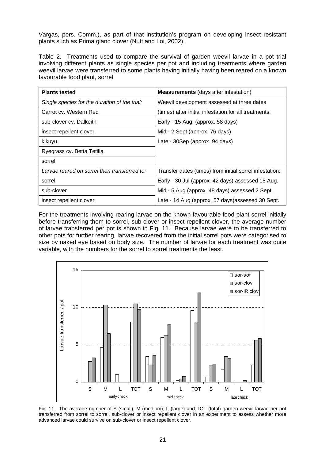Vargas, pers. Comm.), as part of that institution's program on developing insect resistant plants such as Prima gland clover (Nutt and Loi, 2002).

Table 2. Treatments used to compare the survival of garden weevil larvae in a pot trial involving different plants as single species per pot and including treatments where garden weevil larvae were transferred to some plants having initially having been reared on a known favourable food plant, sorrel.

| <b>Plants tested</b>                          | <b>Measurements</b> (days after infestation)            |
|-----------------------------------------------|---------------------------------------------------------|
| Single species for the duration of the trial: | Weevil development assessed at three dates              |
| Carrot cv. Western Red                        | (times) after initial infestation for all treatments:   |
| sub-clover cv. Dalkeith                       | Early - 15 Aug. (approx. 58 days)                       |
| insect repellent clover                       | Mid - 2 Sept (approx. 76 days)                          |
| kikuyu                                        | Late - 30Sep (approx. 94 days)                          |
| Ryegrass cv. Betta Tetilla                    |                                                         |
| sorrel                                        |                                                         |
| Larvae reared on sorrel then transferred to:  | Transfer dates (times) from initial sorrel infestation: |
| sorrel                                        | Early - 30 Jul (approx. 42 days) assessed 15 Aug.       |
| sub-clover                                    | Mid - 5 Aug (approx. 48 days) assessed 2 Sept.          |
| insect repellent clover                       | Late - 14 Aug (approx. 57 days) assessed 30 Sept.       |

For the treatments involving rearing larvae on the known favourable food plant sorrel initially before transferring them to sorrel, sub-clover or insect repellent clover, the average number of larvae transferred per pot is shown in Fig. 11. Because larvae were to be transferred to other pots for further rearing, larvae recovered from the initial sorrel pots were categorised to size by naked eye based on body size. The number of larvae for each treatment was quite variable, with the numbers for the sorrel to sorrel treatments the least.



Fig. 11. The average number of S (small), M (medium), L (large) and TOT (total) garden weevil larvae per pot transferred from sorrel to sorrel, sub-clover or insect repellent clover in an experiment to assess whether more advanced larvae could survive on sub-clover or insect repellent clover.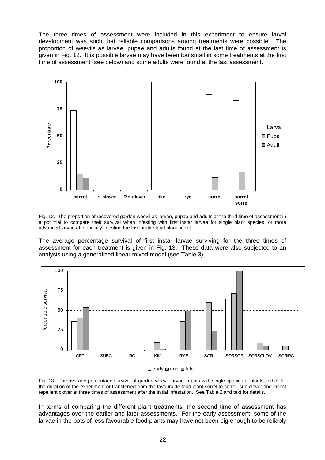The three times of assessment were included in this experiment to ensure larval development was such that reliable comparisons among treatments were possible. The proportion of weevils as larvae, pupae and adults found at the last time of assessment is given in Fig. 12. It is possible larvae may have been too small in some treatments at the first time of assessment (see below) and some adults were found at the last assessment.



Fig. 12. The proportion of recovered garden weevil as larvae, pupae and adults at the third time of assessment in a pot trial to compare their survival when infesting with first instar larvae for single plant species, or more advanced larvae after initially infesting the favourable food plant sorrel.

The average percentage survival of first instar larvae surviving for the three times of assessment for each treatment is given in Fig. 13. These data were also subjected to an analysis using a generalized linear mixed model (see Table 3).



Fig. 13. The average percentage survival of garden weevil larvae in pots with single species of plants, either for the duration of the experiment or transferred from the favourable food plant sorrel to sorrel, sub clover and insect repellent clover at three times of assessment after the initial infestation. See Table 2 and text for details.

In terms of comparing the different plant treatments, the second time of assessment has advantages over the earlier and later assessments. For the early assessment, some of the larvae in the pots of less favourable food plants may have not been big enough to be reliably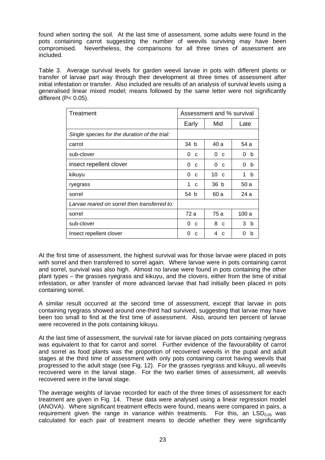found when sorting the soil. At the last time of assessment, some adults were found in the pots containing carrot suggesting the number of weevils surviving may have been compromised. Nevertheless, the comparisons for all three times of assessment are included.

Table 3. Average survival levels for garden weevil larvae in pots with different plants or transfer of larvae part way through their development at three times of assessment after initial infestation or transfer. Also included are results of an analysis of survival levels using a generalised linear mixed model; means followed by the same letter were not significantly different (P< 0.05).

| Assessment and % survival<br>Treatment        |                  |                   |                |
|-----------------------------------------------|------------------|-------------------|----------------|
|                                               | Early            | Mid               | Late           |
| Single species for the duration of the trial: |                  |                   |                |
| carrot                                        | 34 b             | 40 a              | 54 a           |
| sub-clover                                    | 0<br>C           | 0<br>$\mathbf C$  | 0<br>b         |
| insect repellent clover                       | 0<br>C           | 0<br>C            | 0<br>b         |
| kikuyu                                        | 0<br>C           | 10<br>$\mathbf C$ | 1<br>b         |
| ryegrass                                      | 1<br>$\mathbf C$ | 36 b              | 50 a           |
| sorrel                                        | 54 b             | 60 a              | 24 a           |
| Larvae reared on sorrel then transferred to:  |                  |                   |                |
| sorrel                                        | 72 a             | 75 a              | 100 a          |
| sub-clover                                    | 0<br>C           | 8<br>C            | 3 <sub>b</sub> |
| Insect repellent clover                       | 0<br>C           | 4<br>C            | O<br>b         |

At the first time of assessment, the highest survival was for those larvae were placed in pots with sorrel and then transferred to sorrel again. Where larvae were in pots containing carrot and sorrel, survival was also high. Almost no larvae were found in pots containing the other plant types – the grasses ryegrass and kikuyu, and the clovers, either from the time of initial infestation, or after transfer of more advanced larvae that had initially been placed in pots containing sorrel.

A similar result occurred at the second time of assessment, except that larvae in pots containing ryegrass showed around one-third had survived, suggesting that larvae may have been too small to find at the first time of assessment. Also, around ten percent of larvae were recovered in the pots containing kikuyu.

At the last time of assessment, the survival rate for larvae placed on pots containing ryegrass was equivalent to that for carrot and sorrel. Further evidence of the favourability of carrot and sorrel as food plants was the proportion of recovered weevils in the pupal and adult stages at the third time of assessment with only pots containing carrot having weevils that progressed to the adult stage (see Fig. 12). For the grasses ryegrass and kikuyu, all weevils recovered were in the larval stage. For the two earlier times of assessment, all weevils recovered were in the larval stage.

The average weights of larvae recorded for each of the three times of assessment for each treatment are given in Fig. 14. These data were analysed using a linear regression model (ANOVA). Where significant treatment effects were found, means were compared in pairs, a requirement given the range in variance within treatments. For this, an  $LSD<sub>0.05</sub>$  was calculated for each pair of treatment means to decide whether they were significantly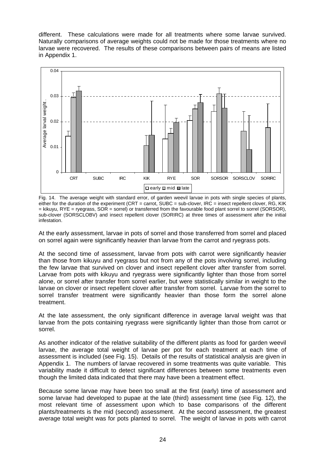different. These calculations were made for all treatments where some larvae survived. Naturally comparisons of average weights could not be made for those treatments where no larvae were recovered. The results of these comparisons between pairs of means are listed in Appendix 1.



Fig. 14. The average weight with standard error, of garden weevil larvae in pots with single species of plants, either for the duration of the experiment (CRT = carrot, SUBC = sub-clover, IRC = insect repellent clover, RG, KIK = kikuyu, RYE = ryegrass, SOR = sorrel) or transferred from the favourable food plant sorrel to sorrel (SORSOR), sub-clover (SORSCLOBV) and insect repellent clover (SORIRC) at three times of assessment after the initial infestation.

At the early assessment, larvae in pots of sorrel and those transferred from sorrel and placed on sorrel again were significantly heavier than larvae from the carrot and ryegrass pots.

At the second time of assessment, larvae from pots with carrot were significantly heavier than those from kikuyu and ryegrass but not from any of the pots involving sorrel, including the few larvae that survived on clover and insect repellent clover after transfer from sorrel. Larvae from pots with kikuyu and ryegrass were significantly lighter than those from sorrel alone, or sorrel after transfer from sorrel earlier, but were statistically similar in weight to the larvae on clover or insect repellent clover after transfer from sorrel. Larvae from the sorrel to sorrel transfer treatment were significantly heavier than those form the sorrel alone treatment.

At the late assessment, the only significant difference in average larval weight was that larvae from the pots containing ryegrass were significantly lighter than those from carrot or sorrel.

As another indicator of the relative suitability of the different plants as food for garden weevil larvae, the average total weight of larvae per pot for each treatment at each time of assessment is included (see Fig. 15). Details of the results of statistical analysis are given in Appendix 1. The numbers of larvae recovered in some treatments was quite variable. This variability made it difficult to detect significant differences between some treatments even though the limited data indicated that there may have been a treatment effect.

Because some larvae may have been too small at the first (early) time of assessment and some larvae had developed to pupae at the late (third) assessment time (see Fig. 12), the most relevant time of assessment upon which to base comparisons of the different plants/treatments is the mid (second) assessment. At the second assessment, the greatest average total weight was for pots planted to sorrel. The weight of larvae in pots with carrot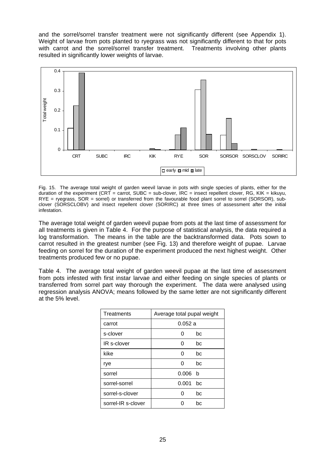and the sorrel/sorrel transfer treatment were not significantly different (see Appendix 1). Weight of larvae from pots planted to ryegrass was not significantly different to that for pots with carrot and the sorrel/sorrel transfer treatment. Treatments involving other plants resulted in significantly lower weights of larvae.



Fig. 15. The average total weight of garden weevil larvae in pots with single species of plants, either for the duration of the experiment (CRT = carrot, SUBC = sub-clover,  $IRC =$  insect repellent clover, RG, KIK = kikuyu, RYE = ryegrass, SOR = sorrel) or transferred from the favourable food plant sorrel to sorrel (SORSOR), subclover (SORSCLOBV) and insect repellent clover (SORIRC) at three times of assessment after the initial infestation.

The average total weight of garden weevil pupae from pots at the last time of assessment for all treatments is given in Table 4. For the purpose of statistical analysis, the data required a log transformation. The means in the table are the backtransformed data. Pots sown to carrot resulted in the greatest number (see Fig. 13) and therefore weight of pupae. Larvae feeding on sorrel for the duration of the experiment produced the next highest weight. Other treatments produced few or no pupae.

Table 4. The average total weight of garden weevil pupae at the last time of assessment from pots infested with first instar larvae and either feeding on single species of plants or transferred from sorrel part way thorough the experiment. The data were analysed using regression analysis ANOVA; means followed by the same letter are not significantly different at the 5% level.

| <b>Treatments</b>  | Average total pupal weight |     |
|--------------------|----------------------------|-----|
| carrot             | 0.052a                     |     |
| s-clover           | O                          | bc  |
| IR s-clover        | O                          | bc  |
| kike               | U                          | bc  |
| rye                | O                          | bc  |
| sorrel             | 0.006                      | - b |
| sorrel-sorrel      | 0.001                      | bc  |
| sorrel-s-clover    |                            | bc  |
| sorrel-IR s-clover |                            | bc  |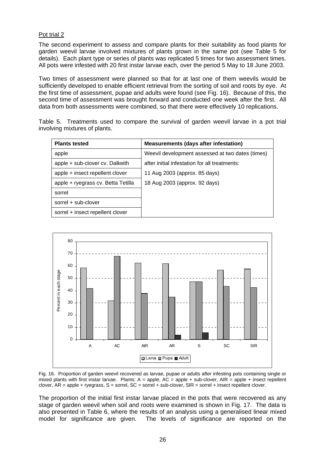## Pot trial 2

The second experiment to assess and compare plants for their suitability as food plants for garden weevil larvae involved mixtures of plants grown in the same pot (see Table 5 for details). Each plant type or series of plants was replicated 5 times for two assessment times. All pots were infested with 20 first instar larvae each, over the period 5 May to 18 June 2003.

Two times of assessment were planned so that for at last one of them weevils would be sufficiently developed to enable efficient retrieval from the sorting of soil and roots by eye. At the first time of assessment, pupae and adults were found (see Fig. 16). Because of this, the second time of assessment was brought forward and conducted one week after the first. All data from both assessments were combined, so that there were effectively 10 replications.

Table 5. Treatments used to compare the survival of garden weevil larvae in a pot trial involving mixtures of plants.

| <b>Plants tested</b>               | <b>Measurements (days after infestation)</b>     |
|------------------------------------|--------------------------------------------------|
| apple                              | Weevil development assessed at two dates (times) |
| apple + sub-clover cv. Dalkeith    | after initial infestation for all treatments:    |
| apple + insect repellent clover    | 11 Aug 2003 (approx. 85 days)                    |
| apple + ryegrass cv. Betta Tetilla | 18 Aug 2003 (approx. 92 days)                    |
| sorrel                             |                                                  |
| sorrel + sub-clover                |                                                  |
| sorrel + insect repellent clover   |                                                  |



Fig. 16. Proportion of garden weevil recovered as larvae, pupae or adults after infesting pots containing single or mixed plants with first instar larvae. Plants:  $A =$  apple,  $AC =$  apple + sub-clover,  $AIR =$  apple + insect repellent clover, AR = apple + ryegrass, S = sorrel, SC = sorrel + sub-clover, SIR = sorrel + insect repellent clover.

The proportion of the initial first instar larvae placed in the pots that were recovered as any stage of garden weevil when soil and roots were examined is shown in Fig. 17. The data is also presented in Table 6, where the results of an analysis using a generalised linear mixed model for significance are given. The levels of significance are reported on the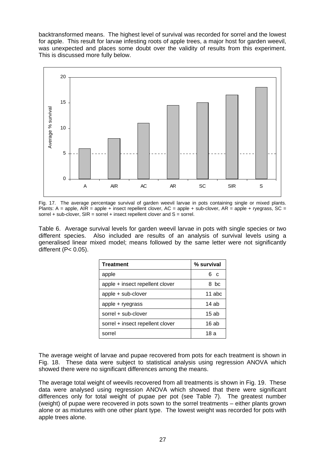backtransformed means. The highest level of survival was recorded for sorrel and the lowest for apple. This result for larvae infesting roots of apple trees, a major host for garden weevil, was unexpected and places some doubt over the validity of results from this experiment. This is discussed more fully below.



Fig. 17. The average percentage survival of garden weevil larvae in pots containing single or mixed plants. Plants: A = apple, AIR = apple + insect repellent clover, AC = apple + sub-clover, AR = apple + ryegrass, SC = sorrel + sub-clover,  $SIR =$  sorrel + insect repellent clover and  $S =$  sorrel.

Table 6. Average survival levels for garden weevil larvae in pots with single species or two different species. Also included are results of an analysis of survival levels using a generalised linear mixed model; means followed by the same letter were not significantly different (P< 0.05).

| <b>Treatment</b>                 | % survival |  |
|----------------------------------|------------|--|
| apple                            | ჩ ი        |  |
| apple + insect repellent clover  | 8 bc       |  |
| apple + sub-clover               | $11$ abc   |  |
| apple + ryegrass                 | $14$ ab    |  |
| sorrel + sub-clover              | $15$ ab    |  |
| sorrel + insect repellent clover | 16 ab      |  |
| sorrel                           | 18 a       |  |

The average weight of larvae and pupae recovered from pots for each treatment is shown in Fig. 18. These data were subject to statistical analysis using regression ANOVA which showed there were no significant differences among the means.

The average total weight of weevils recovered from all treatments is shown in Fig. 19. These data were analysed using regression ANOVA which showed that there were significant differences only for total weight of pupae per pot (see Table 7). The greatest number (weight) of pupae were recovered in pots sown to the sorrel treatments – either plants grown alone or as mixtures with one other plant type. The lowest weight was recorded for pots with apple trees alone.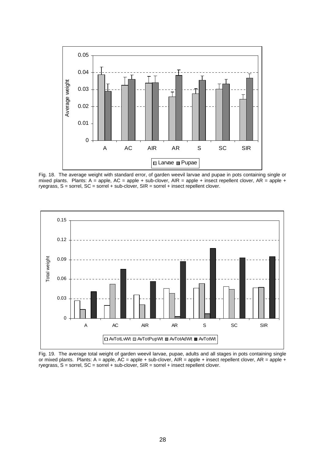

Fig. 18. The average weight with standard error, of garden weevil larvae and pupae in pots containing single or mixed plants. Plants: A = apple, AC = apple + sub-clover, AIR = apple + insect repellent clover, AR = apple + ryegrass,  $S =$  sorrel,  $SC =$  sorrel  $+$  sub-clover,  $SIR =$  sorrel  $+$  insect repellent clover.



Fig. 19. The average total weight of garden weevil larvae, pupae, adults and all stages in pots containing single or mixed plants. Plants: A = apple, AC = apple + sub-clover, AIR = apple + insect repellent clover, AR = apple + ryegrass, S = sorrel, SC = sorrel + sub-clover, SIR = sorrel + insect repellent clover.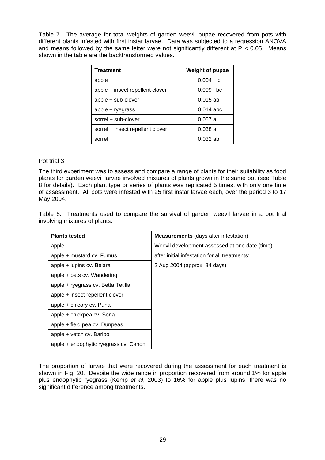Table 7. The average for total weights of garden weevil pupae recovered from pots with different plants infested with first instar larvae. Data was subjected to a regression ANOVA and means followed by the same letter were not significantly different at  $\overline{P}$  < 0.05. Means shown in the table are the backtransformed values.

| <b>Treatment</b>                 | Weight of pupae       |
|----------------------------------|-----------------------|
| apple                            | 0.004<br>$\mathsf{C}$ |
| apple + insect repellent clover  | $0.009$ bc            |
| apple + sub-clover               | $0.015$ ab            |
| apple + ryegrass                 | $0.014$ abc           |
| sorrel + sub-clover              | 0.057a                |
| sorrel + insect repellent clover | 0.038a                |
| sorrel                           | $0.032$ ab            |

## Pot trial 3

The third experiment was to assess and compare a range of plants for their suitability as food plants for garden weevil larvae involved mixtures of plants grown in the same pot (see Table 8 for details). Each plant type or series of plants was replicated 5 times, with only one time of assessment. All pots were infested with 25 first instar larvae each, over the period 3 to 17 May 2004.

Table 8. Treatments used to compare the survival of garden weevil larvae in a pot trial involving mixtures of plants.

| <b>Plants tested</b>                  | <b>Measurements</b> (days after infestation)   |
|---------------------------------------|------------------------------------------------|
| apple                                 | Weevil development assessed at one date (time) |
| apple + mustard cv. Fumus             | after initial infestation for all treatments:  |
| apple + lupins cv. Belara             | 2 Aug 2004 (approx. 84 days)                   |
| apple + oats cv. Wandering            |                                                |
| apple + ryegrass cv. Betta Tetilla    |                                                |
| apple + insect repellent clover       |                                                |
| apple + chicory cv. Puna              |                                                |
| apple + chickpea cv. Sona             |                                                |
| apple + field pea cv. Dunpeas         |                                                |
| apple + vetch cv. Barloo              |                                                |
| apple + endophytic ryegrass cv. Canon |                                                |

The proportion of larvae that were recovered during the assessment for each treatment is shown in Fig. 20. Despite the wide range in proportion recovered from around 1% for apple plus endophytic ryegrass (Kemp *et al*, 2003) to 16% for apple plus lupins, there was no significant difference among treatments.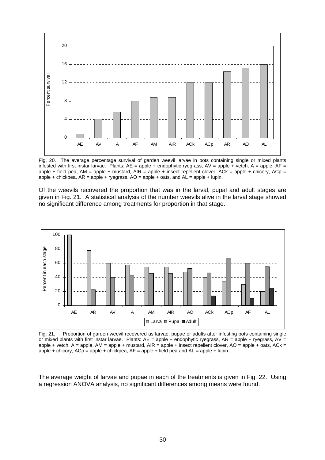

Fig. 20. The average percentage survival of garden weevil larvae in pots containing single or mixed plants infested with first instar larvae. Plants:  $AE =$  apple + endophytic ryegrass,  $AV =$  apple + vetch,  $A =$  apple,  $AF =$ apple + field pea, AM = apple + mustard, AIR = apple + insect repellent clover, ACk = apple + chicory, ACp = apple + chickpea,  $AR =$  apple + ryegrass,  $AO =$  apple + oats, and  $AL =$  apple + lupin.

Of the weevils recovered the proportion that was in the larval, pupal and adult stages are given in Fig. 21. A statistical analysis of the number weevils alive in the larval stage showed no significant difference among treatments for proportion in that stage.



Fig. 21. . Proportion of garden weevil recovered as larvae, pupae or adults after infesting pots containing single or mixed plants with first instar larvae. Plants:  $AE = apple + endophytic$  ryegrass,  $AR = apple + ryegrass$ ,  $AV =$ apple + vetch,  $A =$  apple,  $AM =$  apple + mustard,  $AIR =$  apple + insect repellent clover,  $AO =$  apple + oats,  $ACK =$ apple + chicory,  $ACD =$  apple + chickpea,  $AF =$  apple + field pea and  $AL =$  apple + lupin.

The average weight of larvae and pupae in each of the treatments is given in Fig. 22. Using a regression ANOVA analysis, no significant differences among means were found.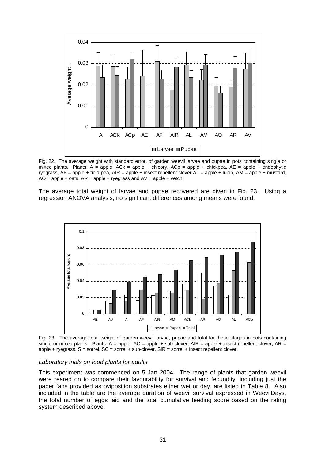

Fig. 22. The average weight with standard error, of garden weevil larvae and pupae in pots containing single or mixed plants. Plants:  $A =$  apple,  $ACk =$  apple + chicory,  $ACp =$  apple + chickpea,  $AE =$  apple + endophytic ryegrass, AF = apple + field pea, AIR = apple + insect repellent clover AL = apple + lupin, AM = apple + mustard,  $AO = apple + oats$ ,  $AR = apple + ryegrass$  and  $AV = apple + vetch$ .

The average total weight of larvae and pupae recovered are given in Fig. 23. Using a regression ANOVA analysis, no significant differences among means were found.



Fig. 23. The average total weight of garden weevil larvae, pupae and total for these stages in pots containing single or mixed plants. Plants:  $A =$  apple,  $AC =$  apple + sub-clover,  $AR =$  apple + insect repellent clover,  $AR =$ apple + ryegrass, S = sorrel, SC = sorrel + sub-clover, SIR = sorrel + insect repellent clover.

#### *Laboratory trials on food plants for adults*

This experiment was commenced on 5 Jan 2004. The range of plants that garden weevil were reared on to compare their favourability for survival and fecundity, including just the paper fans provided as oviposition substrates either wet or day, are listed in Table 8. Also included in the table are the average duration of weevil survival expressed in WeevilDays, the total number of eggs laid and the total cumulative feeding score based on the rating system described above.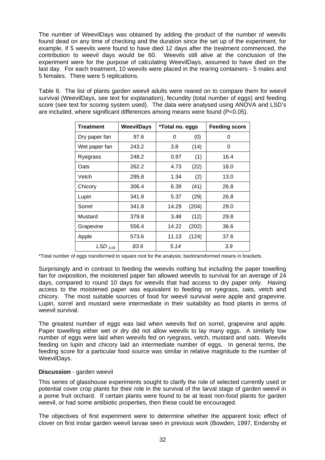The number of WeevilDays was obtained by adding the product of the number of weevils found dead on any time of checking and the duration since the set up of the experiment, for example, if 5 weevils were found to have died 12 days after the treatment commenced, the contribution to weevil days would be 60. Weevils still alive at the conclusion of the experiment were for the purpose of calculating WeevilDays, assumed to have died on the last day. For each treatment, 10 weevils were placed in the rearing containers - 5 males and 5 females. There were 5 replications.

Table 8. The list of plants garden weevil adults were reared on to compare them for weevil survival (WeevilDays, see text for explanation), fecundity (total number of eggs) and feeding score (see text for scoring system used). The data were analysed using ANOVA and LSD's are included, where significant differences among means were found  $(P<sub>0.05</sub>)$ .

| Treatment             | <b>WeevilDays</b><br>*Total no. eggs |       | <b>Feeding score</b> |      |
|-----------------------|--------------------------------------|-------|----------------------|------|
| Dry paper fan         | 97.6                                 | 0     | (0)                  | 0    |
| Wet paper fan         | 243.2                                | 3.8   | (14)                 | 0    |
| Ryegrass              | 248.2                                | 0.97  | (1)                  | 16.4 |
| Oats                  | 262.2                                | 4.73  | (22)                 | 18.0 |
| Vetch                 | 295.8                                | 1.34  | (2)                  | 13.0 |
| Chicory               | 306.4                                | 6.39  | (41)                 | 26.8 |
| Lupin                 | 341.8                                | 5.37  | (29)                 | 26.8 |
| Sorrel                | 341.8                                | 14.29 | (204)                | 29.0 |
| Mustard               | 379.8                                | 3.48  | (12)                 | 29.8 |
| Grapevine             | 556.4                                | 14.22 | (202)                | 36.6 |
| Apple                 | 573.6                                | 11.13 | (124)                | 37.6 |
| $LSD$ <sub>0.05</sub> | 83.6                                 | 5.14  |                      | 3.9  |

\*Total number of eggs transformed to square root for the analysis; backtransformed means in brackets.

Surprisingly and in contrast to feeding the weevils nothing but including the paper towelling fan for oviposition, the moistened paper fan allowed weevils to survival for an average of 24 days, compared to round 10 days for weevils that had access to dry paper only. Having access to the moistened paper was equivalent to feeding on ryegrass, oats, vetch and chicory. The most suitable sources of food for weevil survival were apple and grapevine. Lupin, sorrel and mustard were intermediate in their suitability as food plants in terms of weevil survival.

The greatest number of eggs was laid when weevils fed on sorrel, grapevine and apple. Paper towelling either wet or dry did not allow weevils to lay many eggs. A similarly low number of eggs were laid when weevils fed on ryegrass, vetch, mustard and oats. Weevils feeding on lupin and chicory laid an intermediate number of eggs. In general terms, the feeding score for a particular food source was similar in relative magnitude to the number of WeevilDays.

## **Discussion** - garden weevil

This series of glasshouse experiments sought to clarify the role of selected currently used or potential cover crop plants for their role in the survival of the larval stage of garden weevil in a pome fruit orchard. If certain plants were found to be at least non-food plants for garden weevil, or had some antibiotic properties, then these could be encouraged.

The objectives of first experiment were to determine whether the apparent toxic effect of clover on first instar garden weevil larvae seen in previous work (Bowden, 1997, Endersby *et*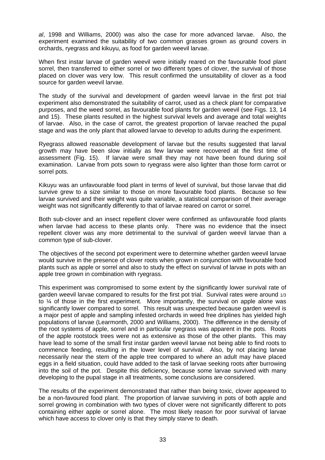*al*, 1998 and Williams, 2000) was also the case for more advanced larvae. Also, the experiment examined the suitability of two common grasses grown as ground covers in orchards, ryegrass and kikuyu, as food for garden weevil larvae.

When first instar larvae of garden weevil were initially reared on the favourable food plant sorrel, then transferred to either sorrel or two different types of clover, the survival of those placed on clover was very low. This result confirmed the unsuitability of clover as a food source for garden weevil larvae.

The study of the survival and development of garden weevil larvae in the first pot trial experiment also demonstrated the suitability of carrot, used as a check plant for comparative purposes, and the weed sorrel, as favourable food plants for garden weevil (see Figs. 13, 14 and 15). These plants resulted in the highest survival levels and average and total weights of larvae. Also, in the case of carrot, the greatest proportion of larvae reached the pupal stage and was the only plant that allowed larvae to develop to adults during the experiment.

Ryegrass allowed reasonable development of larvae but the results suggested that larval growth may have been slow initially as few larvae were recovered at the first time of assessment (Fig. 15). If larvae were small they may not have been found during soil examination. Larvae from pots sown to ryegrass were also lighter than those form carrot or sorrel pots.

Kikuyu was an unfavourable food plant in terms of level of survival, but those larvae that did survive grew to a size similar to those on more favourable food plants. Because so few larvae survived and their weight was quite variable, a statistical comparison of their average weight was not significantly differently to that of larvae reared on carrot or sorrel.

Both sub-clover and an insect repellent clover were confirmed as unfavourable food plants when larvae had access to these plants only. There was no evidence that the insect repellent clover was any more detrimental to the survival of garden weevil larvae than a common type of sub-clover.

The objectives of the second pot experiment were to determine whether garden weevil larvae would survive in the presence of clover roots when grown in conjunction with favourable food plants such as apple or sorrel and also to study the effect on survival of larvae in pots with an apple tree grown in combination with ryegrass.

This experiment was compromised to some extent by the significantly lower survival rate of garden weevil larvae compared to results for the first pot trial. Survival rates were around 1/3 to ¼ of those in the first experiment. More importantly, the survival on apple alone was significantly lower compared to sorrel. This result was unexpected because garden weevil is a major pest of apple and sampling infested orchards in weed free driplines has yielded high populations of larvae (Learmonth, 2000 and Williams, 2000). The difference in the density of the root systems of apple, sorrel and in particular ryegrass was apparent in the pots. Roots of the apple rootstock trees were not as extensive as those of the other plants. This may have lead to some of the small first instar garden weevil larvae not being able to find roots to commence feeding, resulting in the lower level of survival. Also, by not placing larvae necessarily near the stem of the apple tree compared to where an adult may have placed eggs in a field situation, could have added to the task of larvae seeking roots after burrowing into the soil of the pot. Despite this deficiency, because some larvae survived with many developing to the pupal stage in all treatments, some conclusions are considered.

The results of the experiment demonstrated that rather than being toxic, clover appeared to be a non-favoured food plant. The proportion of larvae surviving in pots of both apple and sorrel growing in combination with two types of clover were not significantly different to pots containing either apple or sorrel alone. The most likely reason for poor survival of larvae which have access to clover only is that they simply starve to death.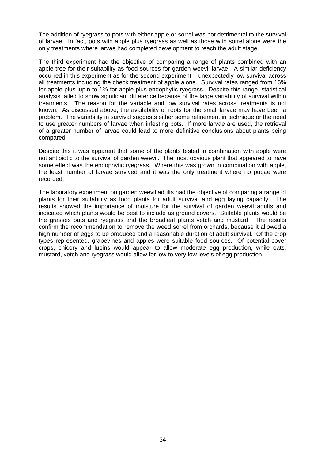The addition of ryegrass to pots with either apple or sorrel was not detrimental to the survival of larvae. In fact, pots with apple plus ryegrass as well as those with sorrel alone were the only treatments where larvae had completed development to reach the adult stage.

The third experiment had the objective of comparing a range of plants combined with an apple tree for their suitability as food sources for garden weevil larvae. A similar deficiency occurred in this experiment as for the second experiment – unexpectedly low survival across all treatments including the check treatment of apple alone. Survival rates ranged from 16% for apple plus lupin to 1% for apple plus endophytic ryegrass. Despite this range, statistical analysis failed to show significant difference because of the large variability of survival within treatments. The reason for the variable and low survival rates across treatments is not known. As discussed above, the availability of roots for the small larvae may have been a problem. The variability in survival suggests either some refinement in technique or the need to use greater numbers of larvae when infesting pots. If more larvae are used, the retrieval of a greater number of larvae could lead to more definitive conclusions about plants being compared.

Despite this it was apparent that some of the plants tested in combination with apple were not antibiotic to the survival of garden weevil. The most obvious plant that appeared to have some effect was the endophytic ryegrass. Where this was grown in combination with apple, the least number of larvae survived and it was the only treatment where no pupae were recorded.

The laboratory experiment on garden weevil adults had the objective of comparing a range of plants for their suitability as food plants for adult survival and egg laying capacity. The results showed the importance of moisture for the survival of garden weevil adults and indicated which plants would be best to include as ground covers. Suitable plants would be the grasses oats and ryegrass and the broadleaf plants vetch and mustard. The results confirm the recommendation to remove the weed sorrel from orchards, because it allowed a high number of eggs to be produced and a reasonable duration of adult survival. Of the crop types represented, grapevines and apples were suitable food sources. Of potential cover crops, chicory and lupins would appear to allow moderate egg production, while oats, mustard, vetch and ryegrass would allow for low to very low levels of egg production.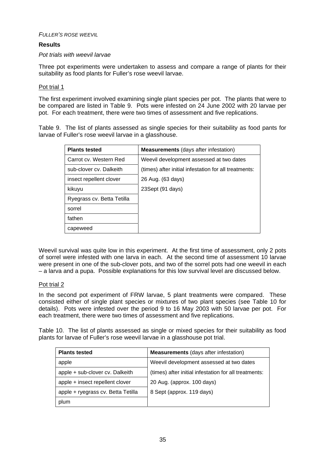## *FULLER'S ROSE WEEVIL*

## **Results**

### *Pot trials with weevil larvae*

Three pot experiments were undertaken to assess and compare a range of plants for their suitability as food plants for Fuller's rose weevil larvae.

## Pot trial 1

The first experiment involved examining single plant species per pot. The plants that were to be compared are listed in Table 9. Pots were infested on 24 June 2002 with 20 larvae per pot. For each treatment, there were two times of assessment and five replications.

Table 9. The list of plants assessed as single species for their suitability as food pants for larvae of Fuller's rose weevil larvae in a glasshouse.

| <b>Plants tested</b>       | <b>Measurements</b> (days after infestation)          |
|----------------------------|-------------------------------------------------------|
| Carrot cv. Western Red     | Weevil development assessed at two dates              |
| sub-clover cv. Dalkeith    | (times) after initial infestation for all treatments: |
| insect repellent clover    | 26 Aug. (63 days)                                     |
| kikuyu                     | 23Sept (91 days)                                      |
| Ryegrass cv. Betta Tetilla |                                                       |
| sorrel                     |                                                       |
| fathen                     |                                                       |
| capeweed                   |                                                       |

Weevil survival was quite low in this experiment. At the first time of assessment, only 2 pots of sorrel were infested with one larva in each. At the second time of assessment 10 larvae were present in one of the sub-clover pots, and two of the sorrel pots had one weevil in each – a larva and a pupa. Possible explanations for this low survival level are discussed below.

## Pot trial 2

In the second pot experiment of FRW larvae, 5 plant treatments were compared. These consisted either of single plant species or mixtures of two plant species (see Table 10 for details). Pots were infested over the period 9 to 16 May 2003 with 50 larvae per pot. For each treatment, there were two times of assessment and five replications.

Table 10. The list of plants assessed as single or mixed species for their suitability as food plants for larvae of Fuller's rose weevil larvae in a glasshouse pot trial.

| <b>Plants tested</b>               | <b>Measurements</b> (days after infestation)          |
|------------------------------------|-------------------------------------------------------|
| apple                              | Weevil development assessed at two dates              |
| apple + sub-clover cv. Dalkeith    | (times) after initial infestation for all treatments: |
| apple + insect repellent clover    | 20 Aug. (approx. 100 days)                            |
| apple + ryegrass cv. Betta Tetilla | 8 Sept (approx. 119 days)                             |
| plum                               |                                                       |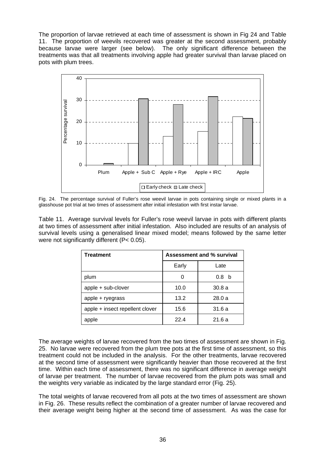The proportion of larvae retrieved at each time of assessment is shown in Fig 24 and Table 11. The proportion of weevils recovered was greater at the second assessment, probably because larvae were larger (see below). The only significant difference between the treatments was that all treatments involving apple had greater survival than larvae placed on pots with plum trees.



Fig. 24. The percentage survival of Fuller's rose weevil larvae in pots containing single or mixed plants in a glasshouse pot trial at two times of assessment after initial infestation with first instar larvae.

Table 11. Average survival levels for Fuller's rose weevil larvae in pots with different plants at two times of assessment after initial infestation. Also included are results of an analysis of survival levels using a generalised linear mixed model; means followed by the same letter were not significantly different (P< 0.05).

| <b>Treatment</b>                | <b>Assessment and % survival</b> |            |  |  |  |
|---------------------------------|----------------------------------|------------|--|--|--|
|                                 | Early                            | Late       |  |  |  |
| plum                            | 0                                | 0.8<br>- b |  |  |  |
| apple + sub-clover              | 10.0                             | 30.8a      |  |  |  |
| apple + ryegrass                | 13.2                             | 28.0a      |  |  |  |
| apple + insect repellent clover | 15.6                             | 31.6 a     |  |  |  |
| apple                           | 22.4                             | 21.6a      |  |  |  |

The average weights of larvae recovered from the two times of assessment are shown in Fig. 25. No larvae were recovered from the plum tree pots at the first time of assessment, so this treatment could not be included in the analysis. For the other treatments, larvae recovered at the second time of assessment were significantly heavier than those recovered at the first time. Within each time of assessment, there was no significant difference in average weight of larvae per treatment. The number of larvae recovered from the plum pots was small and the weights very variable as indicated by the large standard error (Fig. 25).

The total weights of larvae recovered from all pots at the two times of assessment are shown in Fig. 26. These results reflect the combination of a greater number of larvae recovered and their average weight being higher at the second time of assessment. As was the case for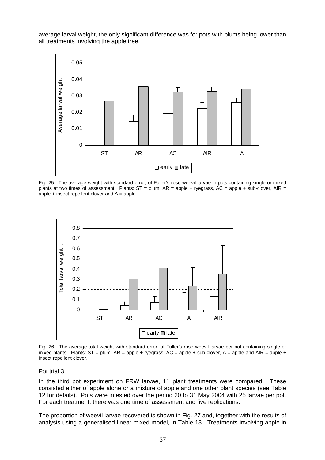average larval weight, the only significant difference was for pots with plums being lower than all treatments involving the apple tree.



Fig. 25. The average weight with standard error, of Fuller's rose weevil larvae in pots containing single or mixed plants at two times of assessment. Plants:  $ST =$  plum,  $AR =$  apple + ryegrass,  $AC =$  apple + sub-clover,  $AIR =$ apple  $+$  insect repellent clover and  $A =$  apple.



Fig. 26. The average total weight with standard error, of Fuller's rose weevil larvae per pot containing single or mixed plants. Plants:  $ST =$  plum,  $AR =$  apple + ryegrass,  $AC =$  apple + sub-clover,  $A =$  apple and  $AIR =$  apple + insect repellent clover.

### Pot trial 3

In the third pot experiment on FRW larvae, 11 plant treatments were compared. These consisted either of apple alone or a mixture of apple and one other plant species (see Table 12 for details). Pots were infested over the period 20 to 31 May 2004 with 25 larvae per pot. For each treatment, there was one time of assessment and five replications.

The proportion of weevil larvae recovered is shown in Fig. 27 and, together with the results of analysis using a generalised linear mixed model, in Table 13. Treatments involving apple in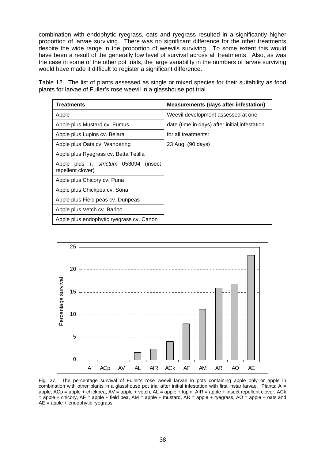combination with endophytic ryegrass, oats and ryegrass resulted in a significantly higher proportion of larvae surviving. There was no significant difference for the other treatments despite the wide range in the proportion of weevils surviving. To some extent this would have been a result of the generally low level of survival across all treatments. Also, as was the case in some of the other pot trials, the large variability in the numbers of larvae surviving would have made it difficult to register a significant difference.

Table 12. The list of plants assessed as single or mixed species for their suitability as food plants for larvae of Fuller's rose weevil in a glasshouse pot trial.

| Treatments                                                     | <b>Measurements (days after infestation)</b>  |
|----------------------------------------------------------------|-----------------------------------------------|
| Apple                                                          | Weevil development assessed at one            |
| Apple plus Mustard cv. Fumus                                   | date (time in days) after initial infestation |
| Apple plus Lupins cv. Belara                                   | for all treatments:                           |
| Apple plus Oats cv. Wandering                                  | 23 Aug. (90 days)                             |
| Apple plus Ryegrass cv. Betta Tetilla                          |                                               |
| Apple plus T. strictum 053094<br>(insect)<br>repellent clover) |                                               |
| Apple plus Chicory cv. Puna                                    |                                               |
| Apple plus Chickpea cv. Sona                                   |                                               |
| Apple plus Field peas cv. Dunpeas                              |                                               |
| Apple plus Vetch cv. Barloo                                    |                                               |
| Apple plus endophytic ryegrass cv. Canon                       |                                               |



Fig. 27. The percentage survival of Fuller's rose weevil larvae in pots containing apple only or apple in combination with other plants in a glasshouse pot trial after initial infestation with first instar larvae. Plants:  $A =$ apple,  $ACp = apple + chicken$ chickpea,  $AV = apple + vector$ ,  $AL = apple + lupin$ ,  $AIR = apple + insect repellent clover$ ,  $ACK$ = apple + chicory, AF = apple + field pea, AM = apple + mustard, AR = apple + ryegrass, AO = apple + oats and  $AE = apple + endophytic regrass.$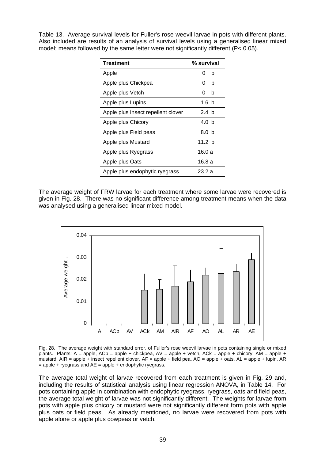Table 13. Average survival levels for Fuller's rose weevil larvae in pots with different plants. Also included are results of an analysis of survival levels using a generalised linear mixed model; means followed by the same letter were not significantly different (P< 0.05).

| <b>Treatment</b>                   | % survival |
|------------------------------------|------------|
| Apple                              | 0<br>h     |
| Apple plus Chickpea                | b<br>0     |
| Apple plus Vetch                   | b<br>0     |
| Apple plus Lupins                  | 1.6 b      |
| Apple plus Insect repellent clover | 2.4 h      |
| Apple plus Chicory                 | 4.0 b      |
| Apple plus Field peas              | 8.0 b      |
| Apple plus Mustard                 | 11.2 $h$   |
| Apple plus Ryegrass                | 16.0 a     |
| Apple plus Oats                    | 16.8 a     |
| Apple plus endophytic ryegrass     | 23.2a      |

The average weight of FRW larvae for each treatment where some larvae were recovered is given in Fig. 28. There was no significant difference among treatment means when the data was analysed using a generalised linear mixed model.



Fig. 28. The average weight with standard error, of Fuller's rose weevil larvae in pots containing single or mixed plants. Plants: A = apple, ACp = apple + chickpea, AV = apple + vetch, ACk = apple + chicory, AM = apple + mustard, AIR = apple + insect repellent clover, AF = apple + field pea, AO = apple + oats, AL = apple + lupin, AR  $=$  apple + ryegrass and AE = apple + endophytic ryegrass.

The average total weight of larvae recovered from each treatment is given in Fig. 29 and, including the results of statistical analysis using linear regression ANOVA, in Table 14. For pots containing apple in combination with endophytic ryegrass, ryegrass, oats and field peas, the average total weight of larvae was not significantly different. The weights for larvae from pots with apple plus chicory or mustard were not significantly different form pots with apple plus oats or field peas. As already mentioned, no larvae were recovered from pots with apple alone or apple plus cowpeas or vetch.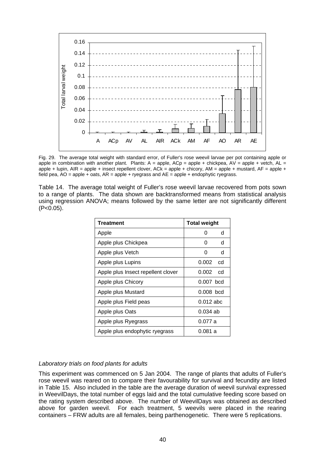

Fig. 29. The average total weight with standard error, of Fuller's rose weevil larvae per pot containing apple or apple in combination with another plant. Plants:  $A =$  apple,  $ACP =$  apple + chickpea,  $AV =$  apple + vetch,  $AL =$ apple + lupin,  $AR =$  apple + insect repellent clover,  $ACK =$  apple + chicory,  $AM =$  apple + mustard,  $AF =$  apple + field pea,  $AO =$  apple + oats,  $AR =$  apple + ryegrass and  $AE =$  apple + endophytic ryegrass.

Table 14. The average total weight of Fuller's rose weevil larvae recovered from pots sown to a range of plants. The data shown are backtransformed means from statistical analysis using regression ANOVA; means followed by the same letter are not significantly different  $(P<0.05)$ .

| <b>Treatment</b>                   | <b>Total weight</b>    |
|------------------------------------|------------------------|
| Apple                              | d<br>U                 |
| Apple plus Chickpea                | O<br>d                 |
| Apple plus Vetch                   | d<br>O                 |
| Apple plus Lupins                  | 0.002<br>cd            |
| Apple plus Insect repellent clover | 0.002<br><sub>cd</sub> |
| Apple plus Chicory                 | $0.007$ bcd            |
| Apple plus Mustard                 | $0.008$ bcd            |
| Apple plus Field peas              | $0.012$ abc            |
| Apple plus Oats                    | $0.034$ ab             |
| Apple plus Ryegrass                | 0.077 a                |
| Apple plus endophytic ryegrass     | 0.081 a                |

### *Laboratory trials on food plants for adults*

This experiment was commenced on 5 Jan 2004. The range of plants that adults of Fuller's rose weevil was reared on to compare their favourability for survival and fecundity are listed in Table 15. Also included in the table are the average duration of weevil survival expressed in WeevilDays, the total number of eggs laid and the total cumulative feeding score based on the rating system described above. The number of WeevilDays was obtained as described above for garden weevil. For each treatment, 5 weevils were placed in the rearing containers – FRW adults are all females, being parthenogenetic. There were 5 replications.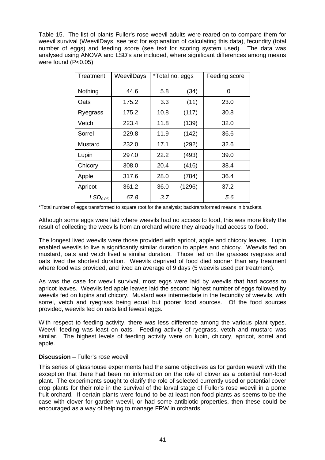Table 15. The list of plants Fuller's rose weevil adults were reared on to compare them for weevil survival (WeevilDays, see text for explanation of calculating this data), fecundity (total number of eggs) and feeding score (see text for scoring system used). The data was analysed using ANOVA and LSD's are included, where significant differences among means were found (P<0.05).

| Treatment           | WeevilDays | *Total no. eggs |        | Feeding score |
|---------------------|------------|-----------------|--------|---------------|
| Nothing             | 44.6       | 5.8             | (34)   | 0             |
| Oats                | 175.2      | 3.3             | (11)   | 23.0          |
| Ryegrass            | 175.2      | 10.8            | (117)  | 30.8          |
| Vetch               | 223.4      | 11.8            | (139)  | 32.0          |
| Sorrel              | 229.8      | 11.9            | (142)  | 36.6          |
| Mustard             | 232.0      | 17.1            | (292)  | 32.6          |
| Lupin               | 297.0      | 22.2            | (493)  | 39.0          |
| Chicory             | 308.0      | 20.4            | (416)  | 38.4          |
| Apple               | 317.6      | 28.0            | (784)  | 36.4          |
| Apricot             | 361.2      | 36.0            | (1296) | 37.2          |
| LSD <sub>0.05</sub> | 67.8       | 3.7             |        | 5.6           |

\*Total number of eggs transformed to square root for the analysis; backtransformed means in brackets.

Although some eggs were laid where weevils had no access to food, this was more likely the result of collecting the weevils from an orchard where they already had access to food.

The longest lived weevils were those provided with apricot, apple and chicory leaves. Lupin enabled weevils to live a significantly similar duration to apples and chicory. Weevils fed on mustard, oats and vetch lived a similar duration. Those fed on the grasses ryegrass and oats lived the shortest duration. Weevils deprived of food died sooner than any treatment where food was provided, and lived an average of 9 days (5 weevils used per treatment).

As was the case for weevil survival, most eggs were laid by weevils that had access to apricot leaves. Weevils fed apple leaves laid the second highest number of eggs followed by weevils fed on lupins and chicory. Mustard was intermediate in the fecundity of weevils, with sorrel, vetch and ryegrass being equal but poorer food sources. Of the food sources provided, weevils fed on oats laid fewest eggs.

With respect to feeding activity, there was less difference among the various plant types. Weevil feeding was least on oats. Feeding activity of ryegrass, vetch and mustard was similar. The highest levels of feeding activity were on lupin, chicory, apricot, sorrel and apple.

## **Discussion** – Fuller's rose weevil

This series of glasshouse experiments had the same objectives as for garden weevil with the exception that there had been no information on the role of clover as a potential non-food plant. The experiments sought to clarify the role of selected currently used or potential cover crop plants for their role in the survival of the larval stage of Fuller's rose weevil in a pome fruit orchard. If certain plants were found to be at least non-food plants as seems to be the case with clover for garden weevil, or had some antibiotic properties, then these could be encouraged as a way of helping to manage FRW in orchards.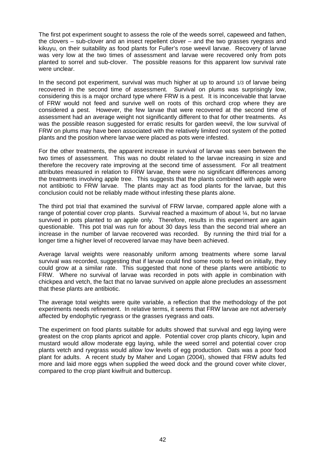The first pot experiment sought to assess the role of the weeds sorrel, capeweed and fathen, the clovers – sub-clover and an insect repellent clover – and the two grasses ryegrass and kikuyu, on their suitability as food plants for Fuller's rose weevil larvae. Recovery of larvae was very low at the two times of assessment and larvae were recovered only from pots planted to sorrel and sub-clover. The possible reasons for this apparent low survival rate were unclear.

In the second pot experiment, survival was much higher at up to around 1/3 of larvae being recovered in the second time of assessment. Survival on plums was surprisingly low, considering this is a major orchard type where FRW is a pest. It is inconceivable that larvae of FRW would not feed and survive well on roots of this orchard crop where they are considered a pest. However, the few larvae that were recovered at the second time of assessment had an average weight not significantly different to that for other treatments. As was the possible reason suggested for erratic results for garden weevil, the low survival of FRW on plums may have been associated with the relatively limited root system of the potted plants and the position where larvae were placed as pots were infested.

For the other treatments, the apparent increase in survival of larvae was seen between the two times of assessment. This was no doubt related to the larvae increasing in size and therefore the recovery rate improving at the second time of assessment. For all treatment attributes measured in relation to FRW larvae, there were no significant differences among the treatments involving apple tree. This suggests that the plants combined with apple were not antibiotic to FRW larvae. The plants may act as food plants for the larvae, but this conclusion could not be reliably made without infesting these plants alone.

The third pot trial that examined the survival of FRW larvae, compared apple alone with a range of potential cover crop plants. Survival reached a maximum of about ¼, but no larvae survived in pots planted to an apple only. Therefore, results in this experiment are again questionable. This pot trial was run for about 30 days less than the second trial where an increase in the number of larvae recovered was recorded. By running the third trial for a longer time a higher level of recovered larvae may have been achieved.

Average larval weights were reasonably uniform among treatments where some larval survival was recorded, suggesting that if larvae could find some roots to feed on initially, they could grow at a similar rate. This suggested that none of these plants were antibiotic to FRW. Where no survival of larvae was recorded in pots with apple in combination with chickpea and vetch, the fact that no larvae survived on apple alone precludes an assessment that these plants are antibiotic.

The average total weights were quite variable, a reflection that the methodology of the pot experiments needs refinement. In relative terms, it seems that FRW larvae are not adversely affected by endophytic ryegrass or the grasses ryegrass and oats.

The experiment on food plants suitable for adults showed that survival and egg laying were greatest on the crop plants apricot and apple. Potential cover crop plants chicory, lupin and mustard would allow moderate egg laying, while the weed sorrel and potential cover crop plants vetch and ryegrass would allow low levels of egg production. Oats was a poor food plant for adults. A recent study by Maher and Logan (2004), showed that FRW adults fed more and laid more eggs when supplied the weed dock and the ground cover white clover, compared to the crop plant kiwifruit and buttercup.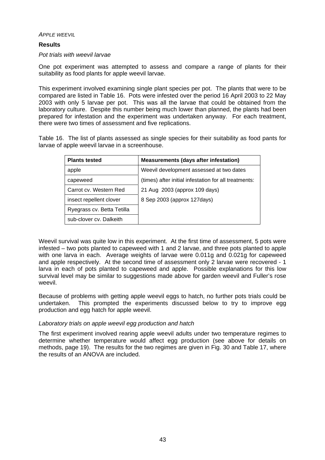*APPLE WEEVIL*

## **Results**

### *Pot trials with weevil larvae*

One pot experiment was attempted to assess and compare a range of plants for their suitability as food plants for apple weevil larvae.

This experiment involved examining single plant species per pot. The plants that were to be compared are listed in Table 16. Pots were infested over the period 16 April 2003 to 22 May 2003 with only 5 larvae per pot. This was all the larvae that could be obtained from the laboratory culture. Despite this number being much lower than planned, the plants had been prepared for infestation and the experiment was undertaken anyway. For each treatment, there were two times of assessment and five replications.

Table 16. The list of plants assessed as single species for their suitability as food pants for larvae of apple weevil larvae in a screenhouse.

| <b>Plants tested</b>       | <b>Measurements (days after infestation)</b>          |
|----------------------------|-------------------------------------------------------|
| apple                      | Weevil development assessed at two dates              |
| capeweed                   | (times) after initial infestation for all treatments: |
| Carrot cv. Western Red     | 21 Aug 2003 (approx 109 days)                         |
| insect repellent clover    | 8 Sep 2003 (approx 127 days)                          |
| Ryegrass cv. Betta Tetilla |                                                       |
| sub-clover cv. Dalkeith    |                                                       |

Weevil survival was quite low in this experiment. At the first time of assessment, 5 pots were infested – two pots planted to capeweed with 1 and 2 larvae, and three pots planted to apple with one larva in each. Average weights of larvae were 0.011g and 0.021g for capeweed and apple respectively. At the second time of assessment only 2 larvae were recovered - 1 larva in each of pots planted to capeweed and apple. Possible explanations for this low survival level may be similar to suggestions made above for garden weevil and Fuller's rose weevil.

Because of problems with getting apple weevil eggs to hatch, no further pots trials could be undertaken. This prompted the experiments discussed below to try to improve egg production and egg hatch for apple weevil.

## *Laboratory trials on apple weevil egg production and hatch*

The first experiment involved rearing apple weevil adults under two temperature regimes to determine whether temperature would affect egg production (see above for details on methods, page 19). The results for the two regimes are given in Fig. 30 and Table 17, where the results of an ANOVA are included.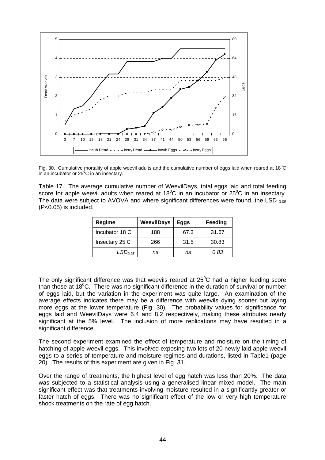

Fig. 30. Cumulative mortality of apple weevil adults and the cumulative number of eggs laid when reared at 18<sup>0</sup>C in an incubator or  $25^{\circ}$ C in an insectary.

Table 17. The average cumulative number of WeevilDays, total eggs laid and total feeding score for apple weevil adults when reared at 18<sup>°</sup>C in an incubator or 25<sup>°</sup>C in an insectary. The data were subject to AVOVA and where significant differences were found, the LSD  $_{0.05}$ (P<0.05) is included.

| Regime              | <b>WeevilDays</b> | Eggs | Feeding |
|---------------------|-------------------|------|---------|
| Incubator 18 C      | 188               | 67.3 | 31.67   |
| Insectary 25 C      | 266               | 31.5 | 30.83   |
| LSD <sub>0.05</sub> | ns                | ns   | 0.83    |

The only significant difference was that weevils reared at  $25^{\circ}$ C had a higher feeding score than those at  $18^{\circ}$ C. There was no significant difference in the duration of survival or number of eggs laid, but the variation in the experiment was quite large. An examination of the average effects indicates there may be a difference with weevils dying sooner but laying more eggs at the lower temperature (Fig. 30). The probability values for significance for eggs laid and WeevilDays were 6.4 and 8.2 respectively, making these attributes nearly significant at the 5% level. The inclusion of more replications may have resulted in a significant difference.

The second experiment examined the effect of temperature and moisture on the timing of hatching of apple weevil eggs. This involved exposing two lots of 20 newly laid apple weevil eggs to a series of temperature and moisture regimes and durations, listed in Table1 (page 20). The results of this experiment are given in Fig. 31.

Over the range of treatments, the highest level of egg hatch was less than 20%. The data was subjected to a statistical analysis using a generalised linear mixed model. The main significant effect was that treatments involving moisture resulted in a significantly greater or faster hatch of eggs. There was no significant effect of the low or very high temperature shock treatments on the rate of egg hatch.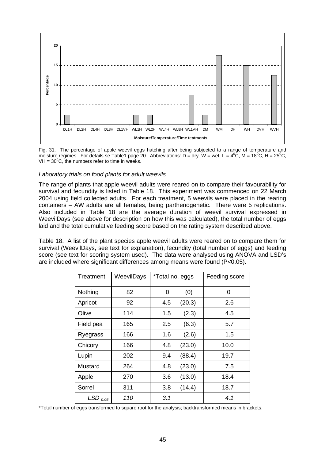

Fig. 31. The percentage of apple weevil eggs hatching after being subjected to a range of temperature and moisture regimes. For details se Table1 page 20. Abbreviations: D = dry. W = wet, L =  $4^0C$ , M =  $18^0C$ , H =  $25^0C$ ,  $VH = 30^{\circ}$ C, the numbers refer to time in weeks.

## *Laboratory trials on food plants for adult weevils*

The range of plants that apple weevil adults were reared on to compare their favourability for survival and fecundity is listed in Table 18. This experiment was commenced on 22 March 2004 using field collected adults. For each treatment, 5 weevils were placed in the rearing containers – AW adults are all females, being parthenogenetic. There were 5 replications. Also included in Table 18 are the average duration of weevil survival expressed in WeevilDays (see above for description on how this was calculated), the total number of eggs laid and the total cumulative feeding score based on the rating system described above.

Table 18. A list of the plant species apple weevil adults were reared on to compare them for survival (WeevilDays, see text for explanation), fecundity (total number of eggs) and feeding score (see text for scoring system used). The data were analysed using ANOVA and LSD's are included where significant differences among means were found (P<0.05).

| Treatment             | WeevilDays | *Total no. eggs |        | Feeding score |  |
|-----------------------|------------|-----------------|--------|---------------|--|
| Nothing               | 82         | 0               | (0)    | 0             |  |
| Apricot               | 92         | 4.5             | (20.3) | 2.6           |  |
| Olive                 | 114        | 1.5             | (2.3)  | 4.5           |  |
| Field pea             | 165        | 2.5             | (6.3)  | 5.7           |  |
| Ryegrass              | 166        | 1.6             | (2.6)  | 1.5           |  |
| Chicory               | 166        | 4.8             | (23.0) | 10.0          |  |
| Lupin                 | 202        | 9.4             | (88.4) | 19.7          |  |
| Mustard               | 264        | 4.8             | (23.0) | 7.5           |  |
| Apple                 | 270        | 3.6             | (13.0) | 18.4          |  |
| Sorrel                | 311        | 3.8             | (14.4) | 18.7          |  |
| $LSD$ <sub>0.05</sub> | 110        | 3.1             |        | 4.1           |  |

\*Total number of eggs transformed to square root for the analysis; backtransformed means in brackets.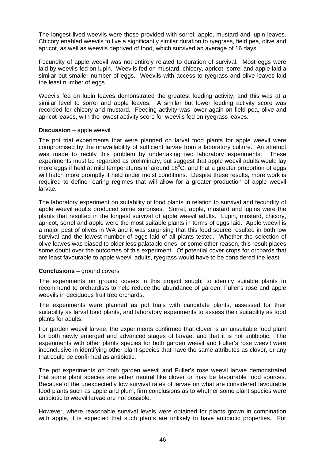The longest lived weevils were those provided with sorrel, apple, mustard and lupin leaves. Chicory enabled weevils to live a significantly similar duration to ryegrass, field pea, olive and apricot, as well as weevils deprived of food, which survived an average of 16 days.

Fecundity of apple weevil was not entirely related to duration of survival. Most eggs were laid by weevils fed on lupin. Weevils fed on mustard, chicory, apricot, sorrel and apple laid a similar but smaller number of eggs. Weevils with access to ryegrass and olive leaves laid the least number of eggs.

Weevils fed on lupin leaves demonstrated the greatest feeding activity, and this was at a similar level to sorrel and apple leaves. A similar but lower feeding activity score was recorded for chicory and mustard. Feeding activity was lower again on field pea, olive and apricot leaves, with the lowest activity score for weevils fed on ryegrass leaves.

## **Discussion** – apple weevil

The pot trial experiments that were planned on larval food plants for apple weevil were compromised by the unavailability of sufficient larvae from a laboratory culture. An attempt was made to rectify this problem by undertaking two laboratory experiments. These experiments must be regarded as preliminary, but suggest that apple weevil adults would lay more eggs if held at mild temperatures of around  $18^{\circ}$ C, and that a greater proportion of eggs will hatch more promptly if held under moist conditions. Despite these results, more work is required to define rearing regimes that will allow for a greater production of apple weevil larvae.

The laboratory experiment on suitability of food plants in relation to survival and fecundity of apple weevil adults produced some surprises. Sorrel, apple, mustard and lupins were the plants that resulted in the longest survival of apple weevil adults. Lupin, mustard, chicory, apricot, sorrel and apple were the most suitable plants in terms of eggs laid. Apple weevil is a major pest of olives in WA and it was surprising that this food source resulted in both low survival and the lowest number of eggs laid of all plants tested. Whether the selection of olive leaves was biased to older less palatable ones, or some other reason, this result places some doubt over the outcomes of this experiment. Of potential cover crops for orchards that are least favourable to apple weevil adults, ryegrass would have to be considered the least.

### **Conclusions** – ground covers

The experiments on ground covers in this project sought to identify suitable plants to recommend to orchardists to help reduce the abundance of garden, Fuller's rose and apple weevils in deciduous fruit tree orchards.

The experiments were planned as pot trials with candidate plants, assessed for their suitability as larval food plants, and laboratory experiments to assess their suitability as food plants for adults.

For garden weevil larvae, the experiments confirmed that clover is an unsuitable food plant for both newly emerged and advanced stages of larvae, and that it is not antibiotic. The experiments with other plants species for both garden weevil and Fuller's rose weevil were inconclusive in identifying other plant species that have the same attributes as clover, or any that could be confirmed as antibiotic.

The pot experiments on both garden weevil and Fuller's rose weevil larvae demonstrated that some plant species are either neutral like clover or may be favourable food sources. Because of the unexpectedly low survival rates of larvae on what are considered favourable food plants such as apple and plum, firm conclusions as to whether some plant species were antibiotic to weevil larvae are not possible.

However, where reasonable survival levels were obtained for plants grown in combination with apple, it is expected that such plants are unlikely to have antibiotic properties. For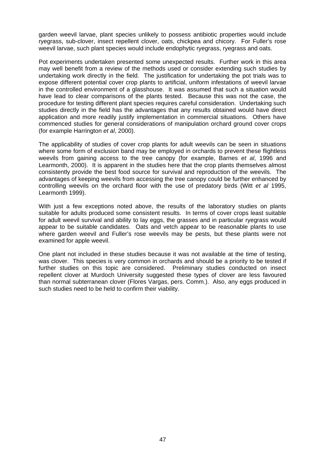garden weevil larvae, plant species unlikely to possess antibiotic properties would include ryegrass, sub-clover, insect repellent clover, oats, chickpea and chicory. For Fuller's rose weevil larvae, such plant species would include endophytic ryegrass, ryegrass and oats.

Pot experiments undertaken presented some unexpected results. Further work in this area may well benefit from a review of the methods used or consider extending such studies by undertaking work directly in the field. The justification for undertaking the pot trials was to expose different potential cover crop plants to artificial, uniform infestations of weevil larvae in the controlled environment of a glasshouse. It was assumed that such a situation would have lead to clear comparisons of the plants tested. Because this was not the case, the procedure for testing different plant species requires careful consideration. Undertaking such studies directly in the field has the advantages that any results obtained would have direct application and more readily justify implementation in commercial situations. Others have commenced studies for general considerations of manipulation orchard ground cover crops (for example Harrington *et al*, 2000).

The applicability of studies of cover crop plants for adult weevils can be seen in situations where some form of exclusion band may be employed in orchards to prevent these flightless weevils from gaining access to the tree canopy (for example, Barnes *et al*, 1996 and Learmonth, 2000). It is apparent in the studies here that the crop plants themselves almost consistently provide the best food source for survival and reproduction of the weevils. The advantages of keeping weevils from accessing the tree canopy could be further enhanced by controlling weevils on the orchard floor with the use of predatory birds (Witt *et al* 1995, Learmonth 1999).

With just a few exceptions noted above, the results of the laboratory studies on plants suitable for adults produced some consistent results. In terms of cover crops least suitable for adult weevil survival and ability to lay eggs, the grasses and in particular ryegrass would appear to be suitable candidates. Oats and vetch appear to be reasonable plants to use where garden weevil and Fuller's rose weevils may be pests, but these plants were not examined for apple weevil.

One plant not included in these studies because it was not available at the time of testing, was clover. This species is very common in orchards and should be a priority to be tested if further studies on this topic are considered. Preliminary studies conducted on insect repellent clover at Murdoch University suggested these types of clover are less favoured than normal subterranean clover (Flores Vargas, pers. Comm.). Also, any eggs produced in such studies need to be held to confirm their viability.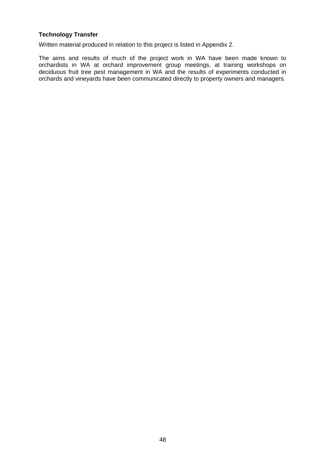## **Technology Transfer**

Written material produced in relation to this project is listed in Appendix 2.

The aims and results of much of the project work in WA have been made known to orchardists in WA at orchard improvement group meetings, at training workshops on deciduous fruit tree pest management in WA and the results of experiments conducted in orchards and vineyards have been communicated directly to property owners and managers.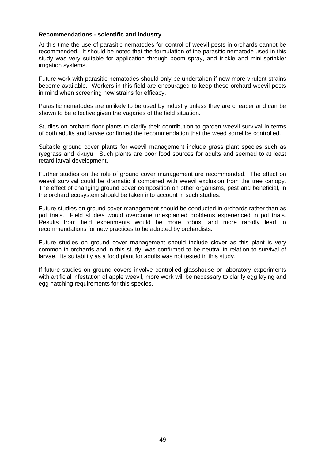## **Recommendations - scientific and industry**

At this time the use of parasitic nematodes for control of weevil pests in orchards cannot be recommended. It should be noted that the formulation of the parasitic nematode used in this study was very suitable for application through boom spray, and trickle and mini-sprinkler irrigation systems.

Future work with parasitic nematodes should only be undertaken if new more virulent strains become available. Workers in this field are encouraged to keep these orchard weevil pests in mind when screening new strains for efficacy.

Parasitic nematodes are unlikely to be used by industry unless they are cheaper and can be shown to be effective given the vagaries of the field situation.

Studies on orchard floor plants to clarify their contribution to garden weevil survival in terms of both adults and larvae confirmed the recommendation that the weed sorrel be controlled.

Suitable ground cover plants for weevil management include grass plant species such as ryegrass and kikuyu. Such plants are poor food sources for adults and seemed to at least retard larval development.

Further studies on the role of ground cover management are recommended. The effect on weevil survival could be dramatic if combined with weevil exclusion from the tree canopy. The effect of changing ground cover composition on other organisms, pest and beneficial, in the orchard ecosystem should be taken into account in such studies.

Future studies on ground cover management should be conducted in orchards rather than as pot trials. Field studies would overcome unexplained problems experienced in pot trials. Results from field experiments would be more robust and more rapidly lead to recommendations for new practices to be adopted by orchardists.

Future studies on ground cover management should include clover as this plant is very common in orchards and in this study, was confirmed to be neutral in relation to survival of larvae. Its suitability as a food plant for adults was not tested in this study.

If future studies on ground covers involve controlled glasshouse or laboratory experiments with artificial infestation of apple weevil, more work will be necessary to clarify egg laying and egg hatching requirements for this species.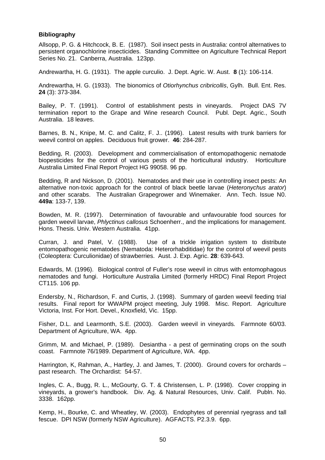## **Bibliography**

Allsopp, P. G. & Hitchcock, B. E. (1987). Soil insect pests in Australia: control alternatives to persistent organochlorine insecticides. Standing Committee on Agriculture Technical Report Series No. 21. Canberra, Australia. 123pp.

Andrewartha, H. G. (1931). The apple curculio. J. Dept. Agric. W. Aust. **8** (1): 106-114.

Andrewartha, H. G. (1933). The bionomics of *Otiorhynchus cribricollis*, Gylh. Bull. Ent. Res. **24** (3): 373-384.

Bailey, P. T. (1991). Control of establishment pests in vineyards. Project DAS 7V termination report to the Grape and Wine research Council. Publ. Dept. Agric., South Australia. 18 leaves.

Barnes, B. N., Knipe, M. C. and Calitz, F. J.. (1996). Latest results with trunk barriers for weevil control on apples. Deciduous fruit grower. **46**: 284-287.

Bedding, R. (2003). Development and commercialisation of entomopathogenic nematode biopesticides for the control of various pests of the horticultural industry. Horticulture Australia Limited Final Report Project HG 99058. 96 pp.

Bedding, R and Nickson, D. (2001). Nematodes and their use in controlling insect pests: An alternative non-toxic approach for the control of black beetle larvae (*Heteronychus arator*) and other scarabs. The Australian Grapegrower and Winemaker. Ann. Tech. Issue N0. **449a**: 133-7, 139.

Bowden, M. R. (1997). Determination of favourable and unfavourable food sources for garden weevil larvae, *Phlyctinus callosus* Schoenherr., and the implications for management. Hons. Thesis. Univ. Western Australia. 41pp.

Curran, J. and Patel, V. (1988). Use of a trickle irrigation system to distribute entomopathogenic nematodes (Nematoda: Heterorhabditidae) for the control of weevil pests (Coleoptera: Curculionidae) of strawberries. Aust. J. Exp. Agric. **28**: 639-643.

Edwards, M. (1996). Biological control of Fuller's rose weevil in citrus with entomophagous nematodes and fungi. Horticulture Australia Limited (formerly HRDC) Final Report Project CT115. 106 pp.

Endersby, N., Richardson, F. and Curtis, J. (1998). Summary of garden weevil feeding trial results. Final report for WWAPM project meeting, July 1998. Misc. Report. Agriculture Victoria, Inst. For Hort. Devel., Knoxfield, Vic. 15pp.

Fisher, D.L. and Learmonth, S.E. (2003). Garden weevil in vineyards*.* Farmnote 60/03. Department of Agriculture, WA. 4pp.

Grimm, M. and Michael, P. (1989). Desiantha - a pest of germinating crops on the south coast. Farmnote 76/1989. Department of Agriculture, WA. 4pp.

Harrington, K, Rahman, A., Hartley, J. and James, T. (2000). Ground covers for orchards – past research. The Orchardist: 54-57.

Ingles, C. A., Bugg, R. L., McGourty, G. T. & Christensen, L. P. (1998). Cover cropping in vineyards, a grower's handbook. Div. Ag. & Natural Resources, Univ. Calif. Publn. No. 3338. 162pp.

Kemp, H., Bourke, C. and Wheatley, W. (2003). Endophytes of perennial ryegrass and tall fescue. DPI NSW (formerly NSW Agriculture). AGFACTS. P2.3.9. 6pp.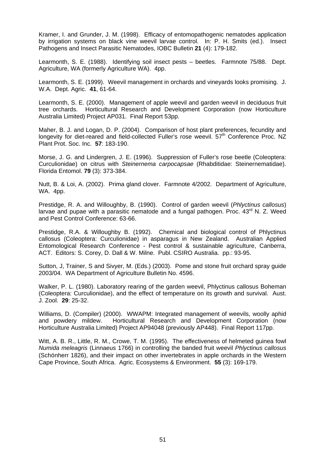Kramer, I. and Grunder, J. M. (1998). Efficacy of entomopathogenic nematodes application by irrigation systems on black vine weevil larvae control. In: P. H. Smits (ed.). Insect Pathogens and Insect Parasitic Nematodes, IOBC Bulletin **21** (4): 179-182.

Learmonth, S. E. (1988). Identifying soil insect pests – beetles. Farmnote 75/88. Dept. Agriculture, WA (formerly Agriculture WA). 4pp.

Learmonth, S. E. (1999). Weevil management in orchards and vineyards looks promising. J. W.A. Dept. Agric. **41**, 61-64.

Learmonth, S. E. (2000). Management of apple weevil and garden weevil in deciduous fruit tree orchards. Horticultural Research and Development Corporation (now Horticulture Australia Limited) Project AP031. Final Report 53pp.

Maher, B. J. and Logan, D. P. (2004). Comparison of host plant preferences, fecundity and longevity for diet-reared and field-collected Fuller's rose weevil.  $57<sup>th</sup>$  Conference Proc. NZ Plant Prot. Soc. Inc. **57**: 183-190.

Morse, J. G. and Lindergren, J. E. (1996). Suppression of Fuller's rose beetle (Coleoptera: Curculionidae) on citrus with *Steinernema carpocapsae* (Rhabditidae: Steinernematidae). Florida Entomol. **79** (3): 373-384.

Nutt, B. & Loi, A. (2002). Prima gland clover. Farmnote 4/2002. Department of Agriculture, WA. 4pp.

Prestidge, R. A. and Willoughby, B. (1990). Control of garden weevil (*Phlyctinus callosus*) larvae and pupae with a parasitic nematode and a fungal pathogen. Proc.  $43<sup>rd</sup>$  N. Z. Weed and Pest Control Conference: 63-66.

Prestidge, R.A. & Willoughby B. (1992). Chemical and biological control of Phlyctinus callosus (Coleoptera: Curculionidae) in asparagus in New Zealand. Australian Applied Entomological Research Conference - Pest control & sustainable agriculture, Canberra, ACT. Editors: S. Corey, D. Dall & W. Milne. Publ. CSIRO Australia. pp.: 93-95.

Sutton, J, Trainer, S and Sivyer, M. (Eds.) (2003). Pome and stone fruit orchard spray guide 2003/04. WA Department of Agriculture Bulletin No. 4596.

Walker, P. L. (1980). Laboratory rearing of the garden weevil, Phlyctinus callosus Boheman (Coleoptera: Curculionidae), and the effect of temperature on its growth and survival. Aust. J. Zool. **29**: 25-32.

Williams, D. (Compiler) (2000). WWAPM: Integrated management of weevils, woolly aphid and powdery mildew. Horticultural Research and Development Corporation (now Horticulture Australia Limited) Project AP94048 (previously AP448). Final Report 117pp.

Witt, A. B. R., Little, R. M., Crowe, T. M. (1995). The effectiveness of helmeted guinea fowl *Numida meleagris* (Linnaeus 1766) in controlling the banded fruit weevil *Phlyctinus callosus* (Schönherr 1826), and their impact on other invertebrates in apple orchards in the Western Cape Province, South Africa. Agric. Ecosystems & Environment. **55** (3): 169-179.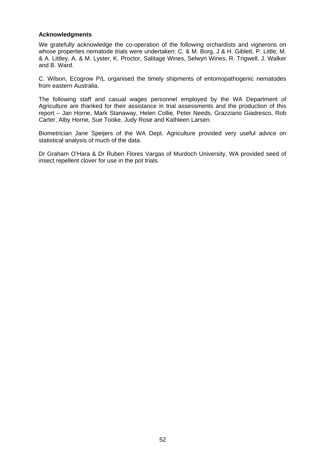## **Acknowledgments**

We gratefully acknowledge the co-operation of the following orchardists and vignerons on whose properties nematode trials were undertaken: C. & M. Borg, J & H. Giblett, P. Little, M. & A. Littley, A. & M. Lyster, K. Proctor, Salitage Wines, Selwyn Wines, R. Trigwell, J. Walker and B. Ward.

C. Wilson, Ecogrow P/L organised the timely shipments of entomopathogenic nematodes from eastern Australia.

The following staff and casual wages personnel employed by the WA Department of Agriculture are thanked for their assistance in trial assessments and the production of this report – Jan Horne, Mark Stanaway, Helen Collie, Peter Needs, Grazziano Giadresco, Rob Carter, Alby Horne, Sue Tooke, Judy Rose and Kathleen Larsen.

Biometrician Jane Speijers of the WA Dept. Agriculture provided very useful advice on statistical analysis of much of the data.

Dr Graham O'Hara & Dr Ruben Flores Vargas of Murdoch University, WA provided seed of insect repellent clover for use in the pot trials.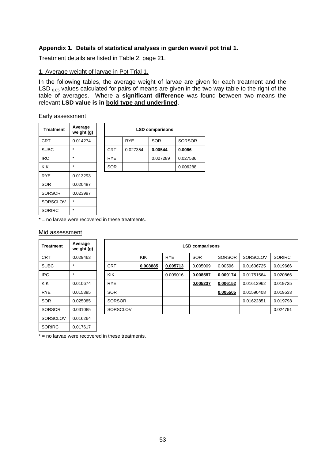## **Appendix 1. Details of statistical analyses in garden weevil pot trial 1.**

Treatment details are listed in Table 2, page 21.

### 1. Average weight of larvae in Pot Trial 1.

In the following tables, the average weight of larvae are given for each treatment and the LSD  $_{0.05}$  values calculated for pairs of means are given in the two way table to the right of the table of averages. Where a **significant difference** was found between two means the relevant **LSD value is in bold type and underlined**.

#### Early assessment

| <b>Treatment</b> | Average<br>weight (g) |
|------------------|-----------------------|
| <b>CRT</b>       | 0.014274              |
| <b>SUBC</b>      | $\star$               |
| IRC              | $\star$               |
| KIK              | $\star$               |
| <b>RYE</b>       | 0.013293              |
| SOR              | 0.020487              |
| <b>SORSOR</b>    | 0.023997              |
| SORSCLOV         | $\star$               |
| <b>SORIRC</b>    | $\star$               |

| <b>Treatment</b> | Average<br>weight (g) | <b>LSD comparisons</b> |            |            |               |  |  |
|------------------|-----------------------|------------------------|------------|------------|---------------|--|--|
| CRT              | 0.014274              |                        | <b>RYE</b> | <b>SOR</b> | <b>SORSOR</b> |  |  |
| <b>SUBC</b>      | $\star$               | <b>CRT</b>             | 0.027354   | 0.00544    | 0.0066        |  |  |
| <b>IRC</b>       | $\star$               | <b>RYE</b>             |            | 0.027289   | 0.027536      |  |  |
| KIK              | $\star$               | <b>SOR</b>             |            |            | 0.006288      |  |  |

 $*$  = no larvae were recovered in these treatments.

### Mid assessment

SORIRC 0.017617

| Treatment   | Average<br>weight (g) | <b>LSD comparisons</b> |            |            |            |               |            |               |  |
|-------------|-----------------------|------------------------|------------|------------|------------|---------------|------------|---------------|--|
| CRT         | 0.029463              |                        | <b>KIK</b> | <b>RYE</b> | <b>SOR</b> | <b>SORSOR</b> | SORSCLOV   | <b>SORIRC</b> |  |
| <b>SUBC</b> |                       | <b>CRT</b>             | 0.008885   | 0.005713   | 0.005009   | 0.00596       | 0.01606725 | 0.019666      |  |
| <b>IRC</b>  | $\star$               | <b>KIK</b>             |            | 0.009016   | 0.008587   | 0.009174      | 0.01751564 | 0.020866      |  |
| KIK         | 0.010674              | <b>RYE</b>             |            |            | 0.005237   | 0.006152      | 0.01613962 | 0.019725      |  |
| <b>RYE</b>  | 0.015385              | <b>SOR</b>             |            |            |            | 0.005505      | 0.01590408 | 0.019533      |  |
| SOR         | 0.025085              | <b>SORSOR</b>          |            |            |            |               | 0.01622851 | 0.019798      |  |
| SORSOR      | 0.031085              | <b>SORSCLOV</b>        |            |            |            |               |            | 0.024791      |  |
| SORSCLOV    | 0.016264              |                        |            |            |            |               |            |               |  |

 $*$  = no larvae were recovered in these treatments.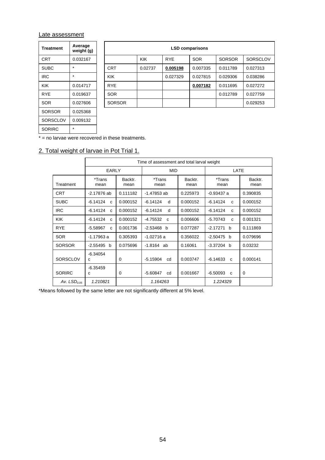## Late assessment

| <b>Treatment</b> | Average<br>weight (g) |  |  |  |
|------------------|-----------------------|--|--|--|
| CRT              | 0.032167              |  |  |  |
| <b>SUBC</b>      | ÷                     |  |  |  |
| IRC              | ÷                     |  |  |  |
| KIK              | 0.014717              |  |  |  |
| RYF              | 0.019637              |  |  |  |
| SOR              | 0.027606              |  |  |  |
| SORSOR           | 0.025368              |  |  |  |
| SORSCLOV         | 0.009132              |  |  |  |
| SORIRC           | $\star$               |  |  |  |

| Treatment   | Average<br>weight (g) | <b>LSD comparisons</b> |            |            |            |               |                 |  |  |
|-------------|-----------------------|------------------------|------------|------------|------------|---------------|-----------------|--|--|
| CRT         | 0.032167              |                        | <b>KIK</b> | <b>RYE</b> | <b>SOR</b> | <b>SORSOR</b> | <b>SORSCLOV</b> |  |  |
| <b>SUBC</b> | $\star$               | <b>CRT</b>             | 0.02737    | 0.005198   | 0.007335   | 0.011789      | 0.027313        |  |  |
| <b>IRC</b>  | $\star$               | <b>KIK</b>             |            | 0.027329   | 0.027815   | 0.029306      | 0.038286        |  |  |
| KIK         | 0.014717              | <b>RYE</b>             |            |            | 0.007182   | 0.011695      | 0.027272        |  |  |
| <b>RYE</b>  | 0.019637              | <b>SOR</b>             |            |            |            | 0.012789      | 0.027759        |  |  |
| SOR.        | 0.027606              | <b>SORSOR</b>          |            |            |            |               | 0.029253        |  |  |
|             |                       |                        |            |            |            |               |                 |  |  |

 $*$  = no larvae were recovered in these treatments.

# 2. Total weight of larvae in Pot Trial 1.

|                 | Time of assessment and total larval weight |                 |                            |                 |                            |                 |  |  |  |
|-----------------|--------------------------------------------|-----------------|----------------------------|-----------------|----------------------------|-----------------|--|--|--|
|                 | <b>EARLY</b>                               |                 | <b>MID</b>                 |                 | LATE                       |                 |  |  |  |
| Treatment       | *Trans<br>mean                             | Backtr.<br>mean | *Trans<br>mean             | Backtr.<br>mean | *Trans<br>mean             | Backtr.<br>mean |  |  |  |
| <b>CRT</b>      | $-2.17876$ ab                              | 0.111182        | $-1.47853$ ab              | 0.225973        | $-0.93437a$                | 0.390835        |  |  |  |
| <b>SUBC</b>     | $-6.14124$<br>$\mathbf{C}$                 | 0.000152        | d<br>$-6.14124$            | 0.000152        | $-6.14124$<br>C            | 0.000152        |  |  |  |
| <b>IRC</b>      | $-6.14124$<br>$\mathbf{C}$                 | 0.000152        | $-6.14124$<br>d            | 0.000152        | $-6.14124$<br>C            | 0.000152        |  |  |  |
| <b>KIK</b>      | $-6.14124$<br>$\mathbf{C}$                 | 0.000152        | $-4.75532$<br>$\mathbf{C}$ | 0.006606        | $-5.70743$<br>$\mathsf{C}$ | 0.001321        |  |  |  |
| <b>RYE</b>      | $-5.58967$<br>$\mathbf{C}$                 | 0.001736        | $-2.53468$ b               | 0.077287        | $-2.17271 b$               | 0.111869        |  |  |  |
| <b>SOR</b>      | $-1.17963a$                                | 0.305393        | $-1.02716a$                | 0.356022        | $-2.50475$ b               | 0.079696        |  |  |  |
| <b>SORSOR</b>   | $-2.55495$ b                               | 0.075696        | $-1.8164$ ab               | 0.16061         | $-3.37204$ b               | 0.03232         |  |  |  |
| <b>SORSCLOV</b> | $-6.34054$<br>c                            | $\Omega$        | $-5.15904$<br>cd           | 0.003747        | $-6.14633$<br>$\mathbf{C}$ | 0.000141        |  |  |  |
| <b>SORIRC</b>   | $-6.35459$<br>C                            | $\Omega$        | $-5.60847$<br>cd           | 0.001667        | $-6.50093$<br>$\mathbf{C}$ | $\Omega$        |  |  |  |
| Av. $LSD0.05$   | 1.210821                                   |                 | 1.164263                   |                 | 1.224329                   |                 |  |  |  |

\*Means followed by the same letter are not significantly different at 5% level.